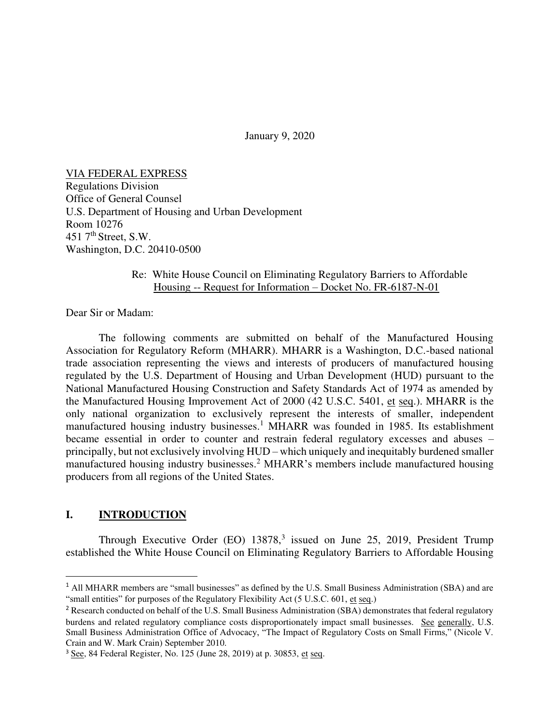January 9, 2020

VIA FEDERAL EXPRESS

Regulations Division Office of General Counsel U.S. Department of Housing and Urban Development Room 10276 451  $7<sup>th</sup>$  Street, S.W. Washington, D.C. 20410-0500

## Re: White House Council on Eliminating Regulatory Barriers to Affordable Housing -- Request for Information – Docket No. FR-6187-N-01

Dear Sir or Madam:

 The following comments are submitted on behalf of the Manufactured Housing Association for Regulatory Reform (MHARR). MHARR is a Washington, D.C.-based national trade association representing the views and interests of producers of manufactured housing regulated by the U.S. Department of Housing and Urban Development (HUD) pursuant to the National Manufactured Housing Construction and Safety Standards Act of 1974 as amended by the Manufactured Housing Improvement Act of 2000 (42 U.S.C. 5401, et seq.). MHARR is the only national organization to exclusively represent the interests of smaller, independent manufactured housing industry businesses.<sup>1</sup> MHARR was founded in 1985. Its establishment became essential in order to counter and restrain federal regulatory excesses and abuses – principally, but not exclusively involving HUD – which uniquely and inequitably burdened smaller manufactured housing industry businesses.<sup>2</sup> MHARR's members include manufactured housing producers from all regions of the United States.

### **I. INTRODUCTION**

Through Executive Order  $(EO)$  13878,<sup>3</sup> issued on June 25, 2019, President Trump established the White House Council on Eliminating Regulatory Barriers to Affordable Housing

<sup>&</sup>lt;sup>1</sup> All MHARR members are "small businesses" as defined by the U.S. Small Business Administration (SBA) and are "small entities" for purposes of the Regulatory Flexibility Act (5 U.S.C. 601, et seq.)

<sup>&</sup>lt;sup>2</sup> Research conducted on behalf of the U.S. Small Business Administration (SBA) demonstrates that federal regulatory burdens and related regulatory compliance costs disproportionately impact small businesses. See generally, U.S. Small Business Administration Office of Advocacy, "The Impact of Regulatory Costs on Small Firms," (Nicole V. Crain and W. Mark Crain) September 2010.

<sup>&</sup>lt;sup>3</sup> See, 84 Federal Register, No. 125 (June 28, 2019) at p. 30853, et seq.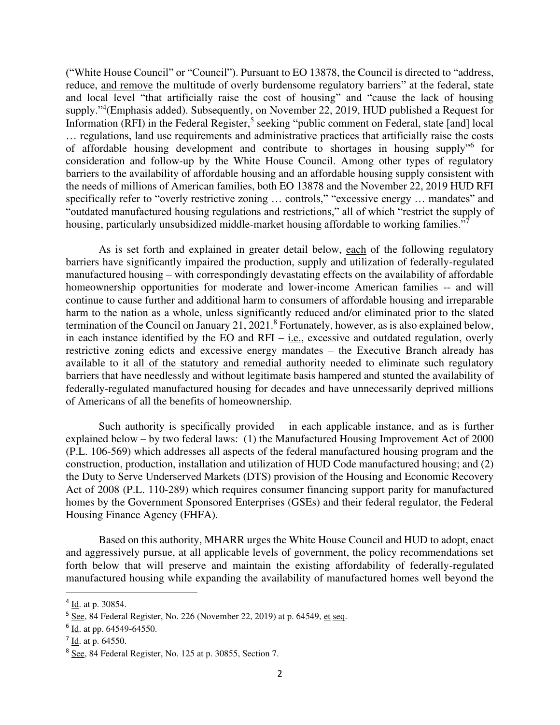("White House Council" or "Council"). Pursuant to EO 13878, the Council is directed to "address, reduce, and remove the multitude of overly burdensome regulatory barriers" at the federal, state and local level "that artificially raise the cost of housing" and "cause the lack of housing supply."<sup>4</sup>(Emphasis added). Subsequently, on November 22, 2019, HUD published a Request for Information (RFI) in the Federal Register,<sup>5</sup> seeking "public comment on Federal, state [and] local … regulations, land use requirements and administrative practices that artificially raise the costs of affordable housing development and contribute to shortages in housing supply<sup>16</sup> for consideration and follow-up by the White House Council. Among other types of regulatory barriers to the availability of affordable housing and an affordable housing supply consistent with the needs of millions of American families, both EO 13878 and the November 22, 2019 HUD RFI specifically refer to "overly restrictive zoning ... controls," "excessive energy ... mandates" and "outdated manufactured housing regulations and restrictions," all of which "restrict the supply of housing, particularly unsubsidized middle-market housing affordable to working families."<sup>7</sup>

As is set forth and explained in greater detail below, each of the following regulatory barriers have significantly impaired the production, supply and utilization of federally-regulated manufactured housing – with correspondingly devastating effects on the availability of affordable homeownership opportunities for moderate and lower-income American families -- and will continue to cause further and additional harm to consumers of affordable housing and irreparable harm to the nation as a whole, unless significantly reduced and/or eliminated prior to the slated termination of the Council on January 21, 2021.<sup>8</sup> Fortunately, however, as is also explained below, in each instance identified by the EO and RFI – i.e., excessive and outdated regulation, overly restrictive zoning edicts and excessive energy mandates – the Executive Branch already has available to it all of the statutory and remedial authority needed to eliminate such regulatory barriers that have needlessly and without legitimate basis hampered and stunted the availability of federally-regulated manufactured housing for decades and have unnecessarily deprived millions of Americans of all the benefits of homeownership.

Such authority is specifically provided  $-$  in each applicable instance, and as is further explained below – by two federal laws: (1) the Manufactured Housing Improvement Act of 2000 (P.L. 106-569) which addresses all aspects of the federal manufactured housing program and the construction, production, installation and utilization of HUD Code manufactured housing; and (2) the Duty to Serve Underserved Markets (DTS) provision of the Housing and Economic Recovery Act of 2008 (P.L. 110-289) which requires consumer financing support parity for manufactured homes by the Government Sponsored Enterprises (GSEs) and their federal regulator, the Federal Housing Finance Agency (FHFA).

Based on this authority, MHARR urges the White House Council and HUD to adopt, enact and aggressively pursue, at all applicable levels of government, the policy recommendations set forth below that will preserve and maintain the existing affordability of federally-regulated manufactured housing while expanding the availability of manufactured homes well beyond the

 $4 \underline{Id}$ . at p. 30854.

 $5$  See, 84 Federal Register, No. 226 (November 22, 2019) at p. 64549, et seq.

 $6$   $\underline{\text{Id}}$ . at pp. 64549-64550.

 $7 \underline{\text{Id}}$ . at p. 64550.

<sup>8</sup> See, 84 Federal Register, No. 125 at p. 30855, Section 7.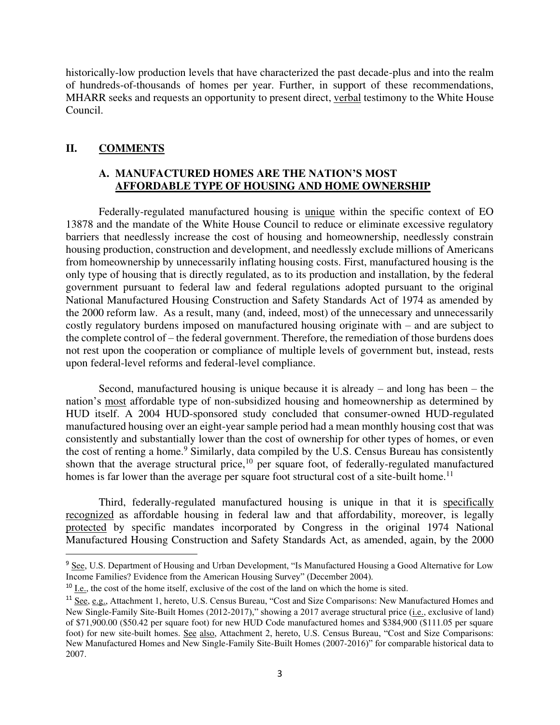historically-low production levels that have characterized the past decade-plus and into the realm of hundreds-of-thousands of homes per year. Further, in support of these recommendations, MHARR seeks and requests an opportunity to present direct, verbal testimony to the White House Council.

# **II. COMMENTS**

# **A. MANUFACTURED HOMES ARE THE NATION'S MOST AFFORDABLE TYPE OF HOUSING AND HOME OWNERSHIP**

 Federally-regulated manufactured housing is unique within the specific context of EO 13878 and the mandate of the White House Council to reduce or eliminate excessive regulatory barriers that needlessly increase the cost of housing and homeownership, needlessly constrain housing production, construction and development, and needlessly exclude millions of Americans from homeownership by unnecessarily inflating housing costs. First, manufactured housing is the only type of housing that is directly regulated, as to its production and installation, by the federal government pursuant to federal law and federal regulations adopted pursuant to the original National Manufactured Housing Construction and Safety Standards Act of 1974 as amended by the 2000 reform law. As a result, many (and, indeed, most) of the unnecessary and unnecessarily costly regulatory burdens imposed on manufactured housing originate with – and are subject to the complete control of – the federal government. Therefore, the remediation of those burdens does not rest upon the cooperation or compliance of multiple levels of government but, instead, rests upon federal-level reforms and federal-level compliance.

 Second, manufactured housing is unique because it is already – and long has been – the nation's most affordable type of non-subsidized housing and homeownership as determined by HUD itself. A 2004 HUD-sponsored study concluded that consumer-owned HUD-regulated manufactured housing over an eight-year sample period had a mean monthly housing cost that was consistently and substantially lower than the cost of ownership for other types of homes, or even the cost of renting a home.<sup>9</sup> Similarly, data compiled by the U.S. Census Bureau has consistently shown that the average structural price, $10$  per square foot, of federally-regulated manufactured homes is far lower than the average per square foot structural cost of a site-built home.<sup>11</sup>

Third, federally-regulated manufactured housing is unique in that it is specifically recognized as affordable housing in federal law and that affordability, moreover, is legally protected by specific mandates incorporated by Congress in the original 1974 National Manufactured Housing Construction and Safety Standards Act, as amended, again, by the 2000

<sup>&</sup>lt;sup>9</sup> See, U.S. Department of Housing and Urban Development, "Is Manufactured Housing a Good Alternative for Low Income Families? Evidence from the American Housing Survey" (December 2004).

 $10$  I.e., the cost of the home itself, exclusive of the cost of the land on which the home is sited.

<sup>11</sup> See, e.g., Attachment 1, hereto, U.S. Census Bureau, "Cost and Size Comparisons: New Manufactured Homes and New Single-Family Site-Built Homes (2012-2017)," showing a 2017 average structural price (i.e., exclusive of land) of \$71,900.00 (\$50.42 per square foot) for new HUD Code manufactured homes and \$384,900 (\$111.05 per square foot) for new site-built homes. See also, Attachment 2, hereto, U.S. Census Bureau, "Cost and Size Comparisons: New Manufactured Homes and New Single-Family Site-Built Homes (2007-2016)" for comparable historical data to 2007.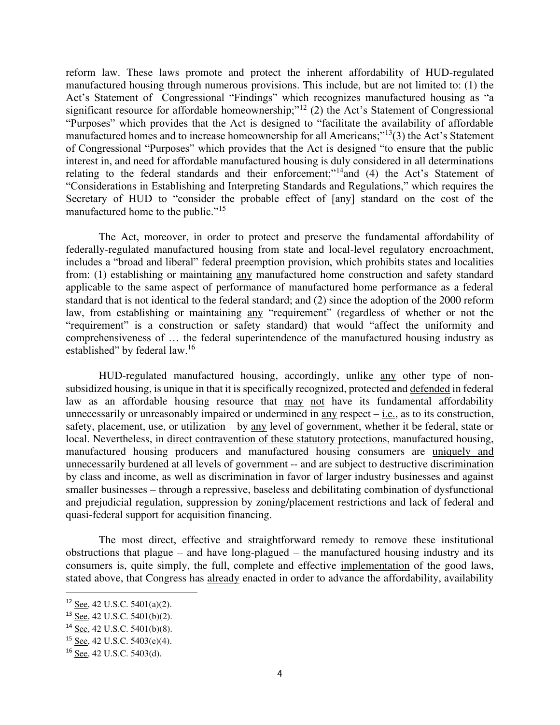reform law. These laws promote and protect the inherent affordability of HUD-regulated manufactured housing through numerous provisions. This include, but are not limited to: (1) the Act's Statement of Congressional "Findings" which recognizes manufactured housing as "a significant resource for affordable homeownership;"<sup>12</sup> (2) the Act's Statement of Congressional "Purposes" which provides that the Act is designed to "facilitate the availability of affordable manufactured homes and to increase homeownership for all Americans;"<sup>13</sup>(3) the Act's Statement of Congressional "Purposes" which provides that the Act is designed "to ensure that the public interest in, and need for affordable manufactured housing is duly considered in all determinations relating to the federal standards and their enforcement;"<sup>14</sup>and (4) the Act's Statement of "Considerations in Establishing and Interpreting Standards and Regulations," which requires the Secretary of HUD to "consider the probable effect of [any] standard on the cost of the manufactured home to the public."<sup>15</sup>

The Act, moreover, in order to protect and preserve the fundamental affordability of federally-regulated manufactured housing from state and local-level regulatory encroachment, includes a "broad and liberal" federal preemption provision, which prohibits states and localities from: (1) establishing or maintaining any manufactured home construction and safety standard applicable to the same aspect of performance of manufactured home performance as a federal standard that is not identical to the federal standard; and (2) since the adoption of the 2000 reform law, from establishing or maintaining any "requirement" (regardless of whether or not the "requirement" is a construction or safety standard) that would "affect the uniformity and comprehensiveness of … the federal superintendence of the manufactured housing industry as established" by federal law.<sup>16</sup>

HUD-regulated manufactured housing, accordingly, unlike any other type of nonsubsidized housing, is unique in that it is specifically recognized, protected and defended in federal law as an affordable housing resource that may not have its fundamental affordability unnecessarily or unreasonably impaired or undermined in any respect  $-i.e.,$  as to its construction, safety, placement, use, or utilization – by any level of government, whether it be federal, state or local. Nevertheless, in direct contravention of these statutory protections, manufactured housing, manufactured housing producers and manufactured housing consumers are uniquely and unnecessarily burdened at all levels of government -- and are subject to destructive discrimination by class and income, as well as discrimination in favor of larger industry businesses and against smaller businesses – through a repressive, baseless and debilitating combination of dysfunctional and prejudicial regulation, suppression by zoning/placement restrictions and lack of federal and quasi-federal support for acquisition financing.

The most direct, effective and straightforward remedy to remove these institutional obstructions that plague – and have long-plagued – the manufactured housing industry and its consumers is, quite simply, the full, complete and effective implementation of the good laws, stated above, that Congress has already enacted in order to advance the affordability, availability

<sup>12</sup> See, 42 U.S.C. 5401(a)(2).

<sup>13</sup> See, 42 U.S.C. 5401(b)(2).

<sup>14</sup> See, 42 U.S.C. 5401(b)(8).

<sup>15</sup> See, 42 U.S.C. 5403(e)(4).

<sup>16</sup> See, 42 U.S.C. 5403(d).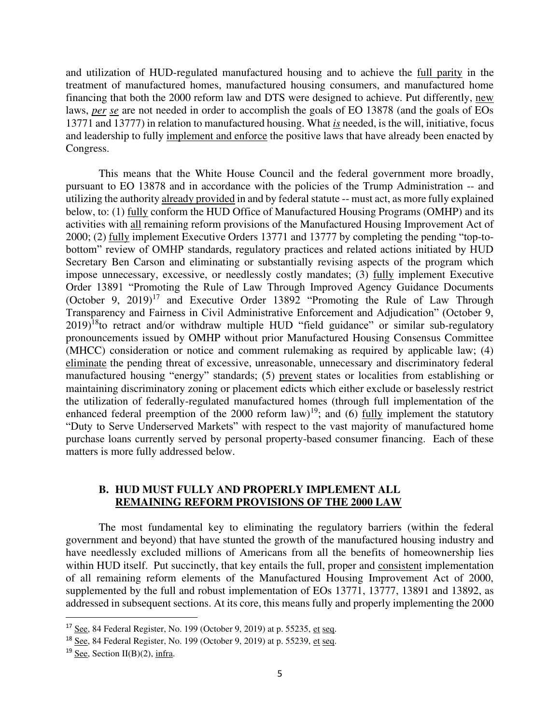and utilization of HUD-regulated manufactured housing and to achieve the full parity in the treatment of manufactured homes, manufactured housing consumers, and manufactured home financing that both the 2000 reform law and DTS were designed to achieve. Put differently, new laws, *per se* are not needed in order to accomplish the goals of EO 13878 (and the goals of EOs 13771 and 13777) in relation to manufactured housing. What *is* needed, is the will, initiative, focus and leadership to fully implement and enforce the positive laws that have already been enacted by Congress.

 This means that the White House Council and the federal government more broadly, pursuant to EO 13878 and in accordance with the policies of the Trump Administration -- and utilizing the authority already provided in and by federal statute -- must act, as more fully explained below, to: (1) fully conform the HUD Office of Manufactured Housing Programs (OMHP) and its activities with all remaining reform provisions of the Manufactured Housing Improvement Act of 2000; (2) fully implement Executive Orders 13771 and 13777 by completing the pending "top-tobottom" review of OMHP standards, regulatory practices and related actions initiated by HUD Secretary Ben Carson and eliminating or substantially revising aspects of the program which impose unnecessary, excessive, or needlessly costly mandates; (3) fully implement Executive Order 13891 "Promoting the Rule of Law Through Improved Agency Guidance Documents (October 9, 2019)<sup>17</sup> and Executive Order 13892 "Promoting the Rule of Law Through Transparency and Fairness in Civil Administrative Enforcement and Adjudication" (October 9,  $2019$ <sup>18</sup>to retract and/or withdraw multiple HUD "field guidance" or similar sub-regulatory pronouncements issued by OMHP without prior Manufactured Housing Consensus Committee (MHCC) consideration or notice and comment rulemaking as required by applicable law; (4) eliminate the pending threat of excessive, unreasonable, unnecessary and discriminatory federal manufactured housing "energy" standards; (5) prevent states or localities from establishing or maintaining discriminatory zoning or placement edicts which either exclude or baselessly restrict the utilization of federally-regulated manufactured homes (through full implementation of the enhanced federal preemption of the 2000 reform law)<sup>19</sup>; and (6) fully implement the statutory "Duty to Serve Underserved Markets" with respect to the vast majority of manufactured home purchase loans currently served by personal property-based consumer financing. Each of these matters is more fully addressed below.

# **B. HUD MUST FULLY AND PROPERLY IMPLEMENT ALL REMAINING REFORM PROVISIONS OF THE 2000 LAW**

The most fundamental key to eliminating the regulatory barriers (within the federal government and beyond) that have stunted the growth of the manufactured housing industry and have needlessly excluded millions of Americans from all the benefits of homeownership lies within HUD itself. Put succinctly, that key entails the full, proper and consistent implementation of all remaining reform elements of the Manufactured Housing Improvement Act of 2000, supplemented by the full and robust implementation of EOs 13771, 13777, 13891 and 13892, as addressed in subsequent sections. At its core, this means fully and properly implementing the 2000

 $17$  See, 84 Federal Register, No. 199 (October 9, 2019) at p. 55235, et seq.

<sup>&</sup>lt;sup>18</sup> See, 84 Federal Register, No. 199 (October 9, 2019) at p. 55239, et seq.

 $19$  See, Section II(B)(2), infra.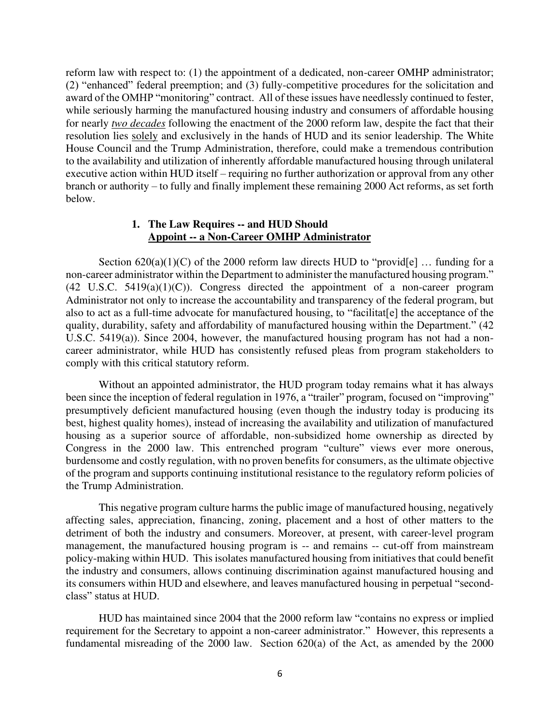reform law with respect to: (1) the appointment of a dedicated, non-career OMHP administrator; (2) "enhanced" federal preemption; and (3) fully-competitive procedures for the solicitation and award of the OMHP "monitoring" contract. All of these issues have needlessly continued to fester, while seriously harming the manufactured housing industry and consumers of affordable housing for nearly *two decades* following the enactment of the 2000 reform law, despite the fact that their resolution lies solely and exclusively in the hands of HUD and its senior leadership. The White House Council and the Trump Administration, therefore, could make a tremendous contribution to the availability and utilization of inherently affordable manufactured housing through unilateral executive action within HUD itself – requiring no further authorization or approval from any other branch or authority – to fully and finally implement these remaining 2000 Act reforms, as set forth below.

#### **1. The Law Requires -- and HUD Should Appoint -- a Non-Career OMHP Administrator**

Section  $620(a)(1)(C)$  of the 2000 reform law directs HUD to "provid[e] ... funding for a non-career administrator within the Department to administer the manufactured housing program."  $(42 \text{ U.S.C. } 5419(a)(1)(C))$ . Congress directed the appointment of a non-career program Administrator not only to increase the accountability and transparency of the federal program, but also to act as a full-time advocate for manufactured housing, to "facilitat[e] the acceptance of the quality, durability, safety and affordability of manufactured housing within the Department." (42 U.S.C. 5419(a)). Since 2004, however, the manufactured housing program has not had a noncareer administrator, while HUD has consistently refused pleas from program stakeholders to comply with this critical statutory reform.

 Without an appointed administrator, the HUD program today remains what it has always been since the inception of federal regulation in 1976, a "trailer" program, focused on "improving" presumptively deficient manufactured housing (even though the industry today is producing its best, highest quality homes), instead of increasing the availability and utilization of manufactured housing as a superior source of affordable, non-subsidized home ownership as directed by Congress in the 2000 law. This entrenched program "culture" views ever more onerous, burdensome and costly regulation, with no proven benefits for consumers, as the ultimate objective of the program and supports continuing institutional resistance to the regulatory reform policies of the Trump Administration.

 This negative program culture harms the public image of manufactured housing, negatively affecting sales, appreciation, financing, zoning, placement and a host of other matters to the detriment of both the industry and consumers. Moreover, at present, with career-level program management, the manufactured housing program is -- and remains -- cut-off from mainstream policy-making within HUD. This isolates manufactured housing from initiatives that could benefit the industry and consumers, allows continuing discrimination against manufactured housing and its consumers within HUD and elsewhere, and leaves manufactured housing in perpetual "secondclass" status at HUD.

HUD has maintained since 2004 that the 2000 reform law "contains no express or implied requirement for the Secretary to appoint a non-career administrator." However, this represents a fundamental misreading of the 2000 law. Section 620(a) of the Act, as amended by the 2000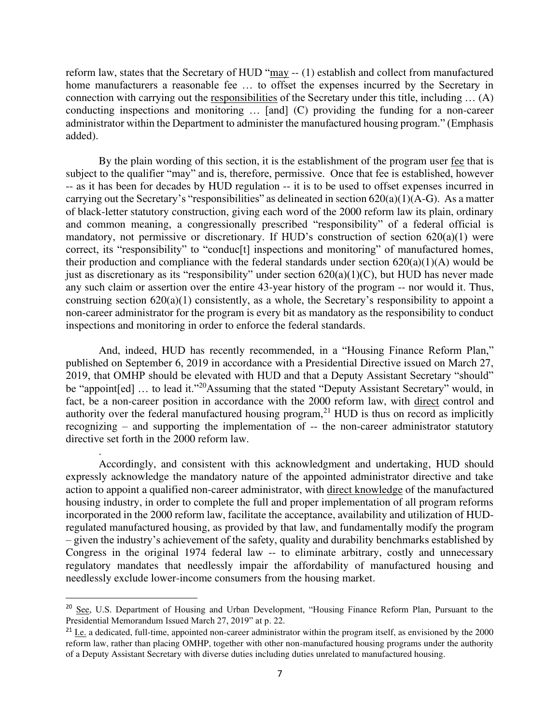reform law, states that the Secretary of HUD "may -- (1) establish and collect from manufactured home manufacturers a reasonable fee … to offset the expenses incurred by the Secretary in connection with carrying out the responsibilities of the Secretary under this title, including … (A) conducting inspections and monitoring … [and] (C) providing the funding for a non-career administrator within the Department to administer the manufactured housing program." (Emphasis added).

By the plain wording of this section, it is the establishment of the program user fee that is subject to the qualifier "may" and is, therefore, permissive. Once that fee is established, however -- as it has been for decades by HUD regulation -- it is to be used to offset expenses incurred in carrying out the Secretary's "responsibilities" as delineated in section  $620(a)(1)(A-G)$ . As a matter of black-letter statutory construction, giving each word of the 2000 reform law its plain, ordinary and common meaning, a congressionally prescribed "responsibility" of a federal official is mandatory, not permissive or discretionary. If HUD's construction of section 620(a)(1) were correct, its "responsibility" to "conduc<sup>[t]</sup> inspections and monitoring" of manufactured homes, their production and compliance with the federal standards under section  $620(a)(1)(A)$  would be just as discretionary as its "responsibility" under section 620(a)(1)(C), but HUD has never made any such claim or assertion over the entire 43-year history of the program -- nor would it. Thus, construing section 620(a)(1) consistently, as a whole, the Secretary's responsibility to appoint a non-career administrator for the program is every bit as mandatory as the responsibility to conduct inspections and monitoring in order to enforce the federal standards.

And, indeed, HUD has recently recommended, in a "Housing Finance Reform Plan," published on September 6, 2019 in accordance with a Presidential Directive issued on March 27, 2019, that OMHP should be elevated with HUD and that a Deputy Assistant Secretary "should" be "appoint [ed] ... to lead it."<sup>20</sup>Assuming that the stated "Deputy Assistant Secretary" would, in fact, be a non-career position in accordance with the 2000 reform law, with direct control and authority over the federal manufactured housing program,<sup>21</sup> HUD is thus on record as implicitly recognizing – and supporting the implementation of -- the non-career administrator statutory directive set forth in the 2000 reform law.

.

 Accordingly, and consistent with this acknowledgment and undertaking, HUD should expressly acknowledge the mandatory nature of the appointed administrator directive and take action to appoint a qualified non-career administrator, with direct knowledge of the manufactured housing industry, in order to complete the full and proper implementation of all program reforms incorporated in the 2000 reform law, facilitate the acceptance, availability and utilization of HUDregulated manufactured housing, as provided by that law, and fundamentally modify the program – given the industry's achievement of the safety, quality and durability benchmarks established by Congress in the original 1974 federal law -- to eliminate arbitrary, costly and unnecessary regulatory mandates that needlessly impair the affordability of manufactured housing and needlessly exclude lower-income consumers from the housing market.

<sup>&</sup>lt;sup>20</sup> See, U.S. Department of Housing and Urban Development, "Housing Finance Reform Plan, Pursuant to the Presidential Memorandum Issued March 27, 2019" at p. 22.

<sup>&</sup>lt;sup>21</sup> I.e. a dedicated, full-time, appointed non-career administrator within the program itself, as envisioned by the 2000 reform law, rather than placing OMHP, together with other non-manufactured housing programs under the authority of a Deputy Assistant Secretary with diverse duties including duties unrelated to manufactured housing.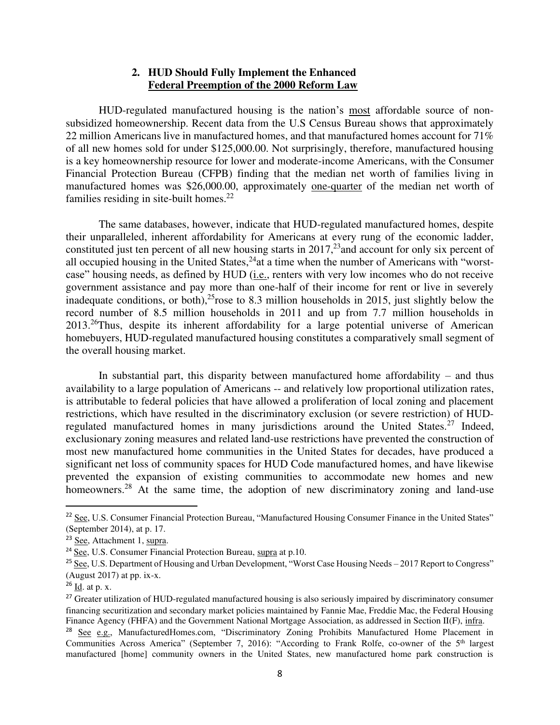## **2. HUD Should Fully Implement the Enhanced Federal Preemption of the 2000 Reform Law**

HUD-regulated manufactured housing is the nation's most affordable source of nonsubsidized homeownership. Recent data from the U.S Census Bureau shows that approximately 22 million Americans live in manufactured homes, and that manufactured homes account for 71% of all new homes sold for under \$125,000.00. Not surprisingly, therefore, manufactured housing is a key homeownership resource for lower and moderate-income Americans, with the Consumer Financial Protection Bureau (CFPB) finding that the median net worth of families living in manufactured homes was \$26,000.00, approximately one-quarter of the median net worth of families residing in site-built homes.<sup>22</sup>

The same databases, however, indicate that HUD-regulated manufactured homes, despite their unparalleled, inherent affordability for Americans at every rung of the economic ladder, constituted just ten percent of all new housing starts in  $2017<sup>23</sup>$  and account for only six percent of all occupied housing in the United States,  $^{24}$ at a time when the number of Americans with "worstcase" housing needs, as defined by HUD (i.e., renters with very low incomes who do not receive government assistance and pay more than one-half of their income for rent or live in severely inadequate conditions, or both),<sup>25</sup>rose to 8.3 million households in 2015, just slightly below the record number of 8.5 million households in 2011 and up from 7.7 million households in 2013.<sup>26</sup>Thus, despite its inherent affordability for a large potential universe of American homebuyers, HUD-regulated manufactured housing constitutes a comparatively small segment of the overall housing market.

In substantial part, this disparity between manufactured home affordability  $-$  and thus availability to a large population of Americans -- and relatively low proportional utilization rates, is attributable to federal policies that have allowed a proliferation of local zoning and placement restrictions, which have resulted in the discriminatory exclusion (or severe restriction) of HUDregulated manufactured homes in many jurisdictions around the United States.<sup>27</sup> Indeed, exclusionary zoning measures and related land-use restrictions have prevented the construction of most new manufactured home communities in the United States for decades, have produced a significant net loss of community spaces for HUD Code manufactured homes, and have likewise prevented the expansion of existing communities to accommodate new homes and new homeowners.<sup>28</sup> At the same time, the adoption of new discriminatory zoning and land-use

<sup>&</sup>lt;sup>22</sup> See, U.S. Consumer Financial Protection Bureau, "Manufactured Housing Consumer Finance in the United States" (September 2014), at p. 17.

<sup>23</sup> See, Attachment 1, supra.

 $\overline{24}$  See, U.S. Consumer Financial Protection Bureau, supra at p.10.

<sup>&</sup>lt;sup>25</sup> See, U.S. Department of Housing and Urban Development, "Worst Case Housing Needs – 2017 Report to Congress" (August 2017) at pp.  $ix-x$ .

 $26$  Id. at p. x.

<sup>&</sup>lt;sup>27</sup> Greater utilization of HUD-regulated manufactured housing is also seriously impaired by discriminatory consumer financing securitization and secondary market policies maintained by Fannie Mae, Freddie Mac, the Federal Housing Finance Agency (FHFA) and the Government National Mortgage Association, as addressed in Section II(F), infra.

<sup>&</sup>lt;sup>28</sup> See e.g., ManufacturedHomes.com, "Discriminatory Zoning Prohibits Manufactured Home Placement in Communities Across America" (September 7, 2016): "According to Frank Rolfe, co-owner of the 5<sup>th</sup> largest manufactured [home] community owners in the United States, new manufactured home park construction is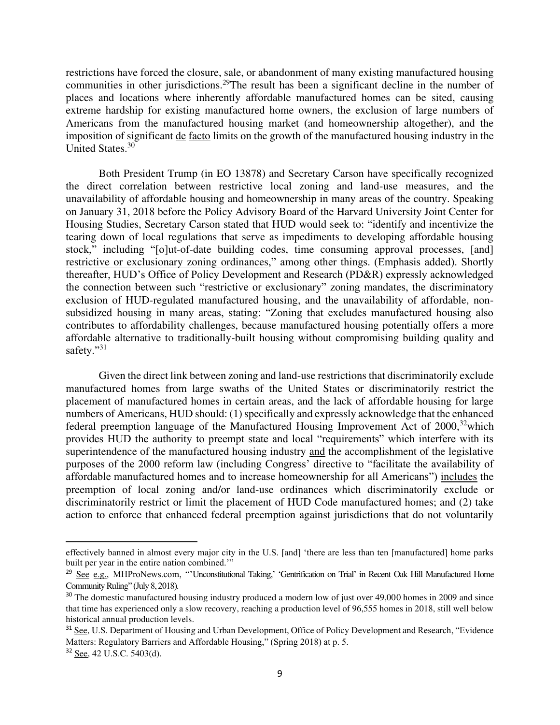restrictions have forced the closure, sale, or abandonment of many existing manufactured housing communities in other jurisdictions.<sup>29</sup>The result has been a significant decline in the number of places and locations where inherently affordable manufactured homes can be sited, causing extreme hardship for existing manufactured home owners, the exclusion of large numbers of Americans from the manufactured housing market (and homeownership altogether), and the imposition of significant de facto limits on the growth of the manufactured housing industry in the United States.<sup>30</sup>

Both President Trump (in EO 13878) and Secretary Carson have specifically recognized the direct correlation between restrictive local zoning and land-use measures, and the unavailability of affordable housing and homeownership in many areas of the country. Speaking on January 31, 2018 before the Policy Advisory Board of the Harvard University Joint Center for Housing Studies, Secretary Carson stated that HUD would seek to: "identify and incentivize the tearing down of local regulations that serve as impediments to developing affordable housing stock," including "[o]ut-of-date building codes, time consuming approval processes, [and] restrictive or exclusionary zoning ordinances," among other things. (Emphasis added). Shortly thereafter, HUD's Office of Policy Development and Research (PD&R) expressly acknowledged the connection between such "restrictive or exclusionary" zoning mandates, the discriminatory exclusion of HUD-regulated manufactured housing, and the unavailability of affordable, nonsubsidized housing in many areas, stating: "Zoning that excludes manufactured housing also contributes to affordability challenges, because manufactured housing potentially offers a more affordable alternative to traditionally-built housing without compromising building quality and safety."<sup>31</sup>

Given the direct link between zoning and land-use restrictions that discriminatorily exclude manufactured homes from large swaths of the United States or discriminatorily restrict the placement of manufactured homes in certain areas, and the lack of affordable housing for large numbers of Americans, HUD should: (1) specifically and expressly acknowledge that the enhanced federal preemption language of the Manufactured Housing Improvement Act of  $2000$ ,<sup>32</sup>which provides HUD the authority to preempt state and local "requirements" which interfere with its superintendence of the manufactured housing industry and the accomplishment of the legislative purposes of the 2000 reform law (including Congress' directive to "facilitate the availability of affordable manufactured homes and to increase homeownership for all Americans") includes the preemption of local zoning and/or land-use ordinances which discriminatorily exclude or discriminatorily restrict or limit the placement of HUD Code manufactured homes; and (2) take action to enforce that enhanced federal preemption against jurisdictions that do not voluntarily

effectively banned in almost every major city in the U.S. [and] 'there are less than ten [manufactured] home parks built per year in the entire nation combined.'"

<sup>&</sup>lt;sup>29</sup> See e.g., MHProNews.com, "'Unconstitutional Taking,' 'Gentrification on Trial' in Recent Oak Hill Manufactured Home Community Ruling" (July 8, 2018).

<sup>&</sup>lt;sup>30</sup> The domestic manufactured housing industry produced a modern low of just over 49,000 homes in 2009 and since that time has experienced only a slow recovery, reaching a production level of 96,555 homes in 2018, still well below historical annual production levels.

<sup>&</sup>lt;sup>31</sup> See, U.S. Department of Housing and Urban Development, Office of Policy Development and Research, "Evidence" Matters: Regulatory Barriers and Affordable Housing," (Spring 2018) at p. 5.

<sup>32</sup> See, 42 U.S.C. 5403(d).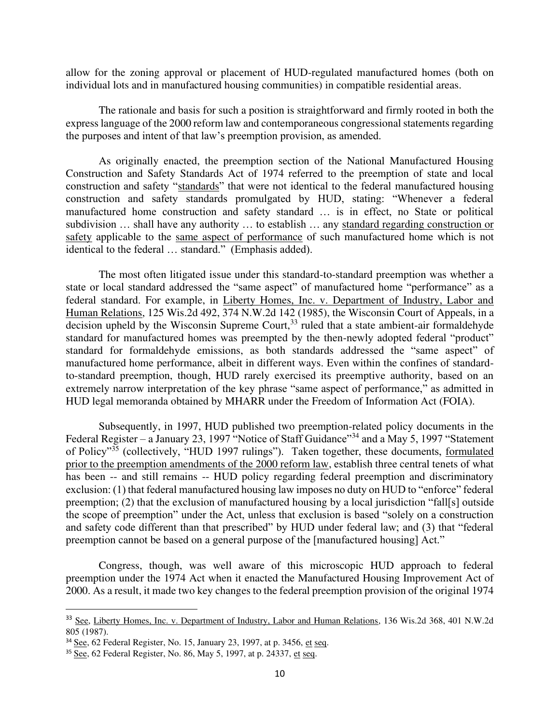allow for the zoning approval or placement of HUD-regulated manufactured homes (both on individual lots and in manufactured housing communities) in compatible residential areas.

The rationale and basis for such a position is straightforward and firmly rooted in both the express language of the 2000 reform law and contemporaneous congressional statements regarding the purposes and intent of that law's preemption provision, as amended.

As originally enacted, the preemption section of the National Manufactured Housing Construction and Safety Standards Act of 1974 referred to the preemption of state and local construction and safety "standards" that were not identical to the federal manufactured housing construction and safety standards promulgated by HUD, stating: "Whenever a federal manufactured home construction and safety standard … is in effect, no State or political subdivision … shall have any authority … to establish … any standard regarding construction or safety applicable to the same aspect of performance of such manufactured home which is not identical to the federal … standard." (Emphasis added).

The most often litigated issue under this standard-to-standard preemption was whether a state or local standard addressed the "same aspect" of manufactured home "performance" as a federal standard. For example, in Liberty Homes, Inc. v. Department of Industry, Labor and Human Relations, 125 Wis.2d 492, 374 N.W.2d 142 (1985), the Wisconsin Court of Appeals, in a decision upheld by the Wisconsin Supreme Court,  $33$  ruled that a state ambient-air formaldehyde standard for manufactured homes was preempted by the then-newly adopted federal "product" standard for formaldehyde emissions, as both standards addressed the "same aspect" of manufactured home performance, albeit in different ways. Even within the confines of standardto-standard preemption, though, HUD rarely exercised its preemptive authority, based on an extremely narrow interpretation of the key phrase "same aspect of performance," as admitted in HUD legal memoranda obtained by MHARR under the Freedom of Information Act (FOIA).

 Subsequently, in 1997, HUD published two preemption-related policy documents in the Federal Register – a January 23, 1997 "Notice of Staff Guidance"<sup>34</sup> and a May 5, 1997 "Statement" of Policy"<sup>35</sup> (collectively, "HUD 1997 rulings"). Taken together, these documents, formulated prior to the preemption amendments of the 2000 reform law, establish three central tenets of what has been -- and still remains -- HUD policy regarding federal preemption and discriminatory exclusion: (1) that federal manufactured housing law imposes no duty on HUD to "enforce" federal preemption; (2) that the exclusion of manufactured housing by a local jurisdiction "fall[s] outside the scope of preemption" under the Act, unless that exclusion is based "solely on a construction and safety code different than that prescribed" by HUD under federal law; and (3) that "federal preemption cannot be based on a general purpose of the [manufactured housing] Act."

Congress, though, was well aware of this microscopic HUD approach to federal preemption under the 1974 Act when it enacted the Manufactured Housing Improvement Act of 2000. As a result, it made two key changes to the federal preemption provision of the original 1974

<sup>&</sup>lt;sup>33</sup> See, Liberty Homes, Inc. v. Department of Industry, Labor and Human Relations, 136 Wis.2d 368, 401 N.W.2d 805 (1987).

 $34$  See, 62 Federal Register, No. 15, January 23, 1997, at p. 3456, et seq.

<sup>&</sup>lt;sup>35</sup> See, 62 Federal Register, No. 86, May 5, 1997, at p. 24337, et seq.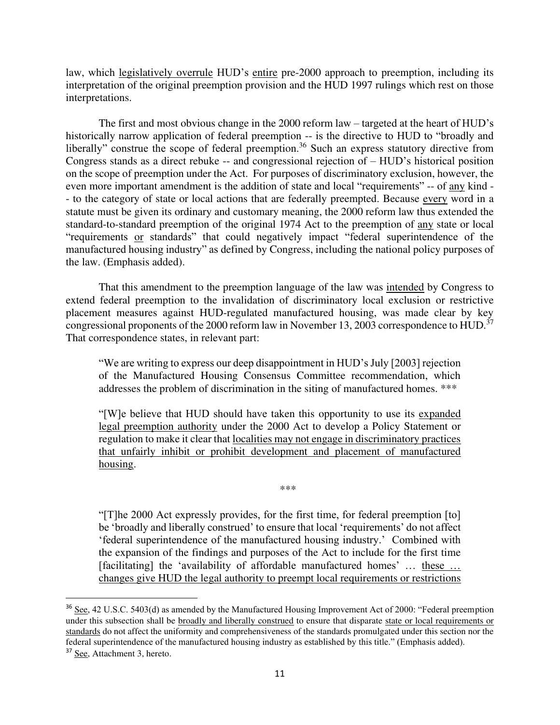law, which legislatively overrule HUD's entire pre-2000 approach to preemption, including its interpretation of the original preemption provision and the HUD 1997 rulings which rest on those interpretations.

The first and most obvious change in the 2000 reform law – targeted at the heart of HUD's historically narrow application of federal preemption -- is the directive to HUD to "broadly and liberally" construe the scope of federal preemption.<sup>36</sup> Such an express statutory directive from Congress stands as a direct rebuke -- and congressional rejection of – HUD's historical position on the scope of preemption under the Act. For purposes of discriminatory exclusion, however, the even more important amendment is the addition of state and local "requirements" -- of any kind - - to the category of state or local actions that are federally preempted. Because every word in a statute must be given its ordinary and customary meaning, the 2000 reform law thus extended the standard-to-standard preemption of the original 1974 Act to the preemption of any state or local "requirements or standards" that could negatively impact "federal superintendence of the manufactured housing industry" as defined by Congress, including the national policy purposes of the law. (Emphasis added).

That this amendment to the preemption language of the law was intended by Congress to extend federal preemption to the invalidation of discriminatory local exclusion or restrictive placement measures against HUD-regulated manufactured housing, was made clear by key congressional proponents of the 2000 reform law in November 13, 2003 correspondence to HUD.<sup>37</sup> That correspondence states, in relevant part:

"We are writing to express our deep disappointment in HUD's July [2003] rejection of the Manufactured Housing Consensus Committee recommendation, which addresses the problem of discrimination in the siting of manufactured homes. \*\*\*

"[W]e believe that HUD should have taken this opportunity to use its expanded legal preemption authority under the 2000 Act to develop a Policy Statement or regulation to make it clear that localities may not engage in discriminatory practices that unfairly inhibit or prohibit development and placement of manufactured housing.

\*\*\*

"[T]he 2000 Act expressly provides, for the first time, for federal preemption [to] be 'broadly and liberally construed' to ensure that local 'requirements' do not affect 'federal superintendence of the manufactured housing industry.' Combined with the expansion of the findings and purposes of the Act to include for the first time [facilitating] the 'availability of affordable manufactured homes' ... these ... changes give HUD the legal authority to preempt local requirements or restrictions

<sup>&</sup>lt;sup>36</sup> See, 42 U.S.C. 5403(d) as amended by the Manufactured Housing Improvement Act of 2000: "Federal preemption under this subsection shall be broadly and liberally construed to ensure that disparate state or local requirements or standards do not affect the uniformity and comprehensiveness of the standards promulgated under this section nor the federal superintendence of the manufactured housing industry as established by this title." (Emphasis added).

<sup>37</sup> See, Attachment 3, hereto.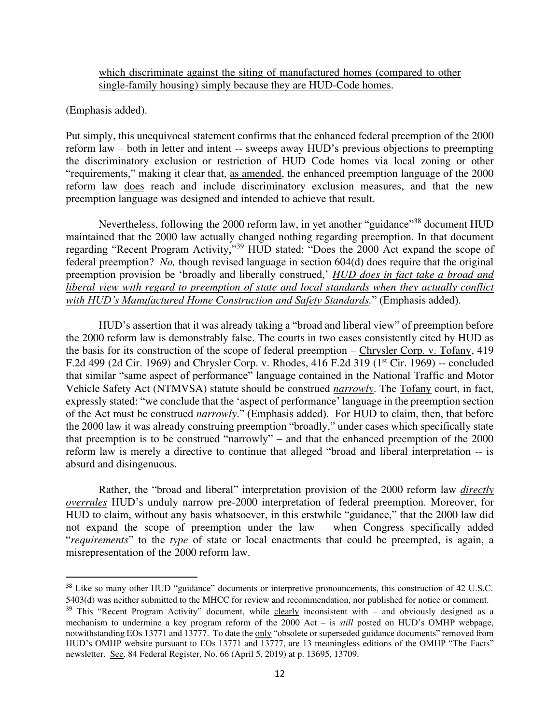which discriminate against the siting of manufactured homes (compared to other single-family housing) simply because they are HUD-Code homes.

(Emphasis added).

Put simply, this unequivocal statement confirms that the enhanced federal preemption of the 2000 reform law – both in letter and intent -- sweeps away HUD's previous objections to preempting the discriminatory exclusion or restriction of HUD Code homes via local zoning or other "requirements," making it clear that, as amended, the enhanced preemption language of the 2000 reform law does reach and include discriminatory exclusion measures, and that the new preemption language was designed and intended to achieve that result.

Nevertheless, following the 2000 reform law, in yet another "guidance"<sup>38</sup> document HUD maintained that the 2000 law actually changed nothing regarding preemption. In that document regarding "Recent Program Activity,"<sup>39</sup> HUD stated: "Does the 2000 Act expand the scope of federal preemption? *No,* though revised language in section 604(d) does require that the original preemption provision be 'broadly and liberally construed,' *HUD does in fact take a broad and liberal view with regard to preemption of state and local standards when they actually conflict with HUD's Manufactured Home Construction and Safety Standards.*" (Emphasis added).

HUD's assertion that it was already taking a "broad and liberal view" of preemption before the 2000 reform law is demonstrably false. The courts in two cases consistently cited by HUD as the basis for its construction of the scope of federal preemption – Chrysler Corp. v. Tofany, 419 F.2d 499 (2d Cir. 1969) and Chrysler Corp. v. Rhodes, 416 F.2d 319 (1<sup>st</sup> Cir. 1969) -- concluded that similar "same aspect of performance" language contained in the National Traffic and Motor Vehicle Safety Act (NTMVSA) statute should be construed *narrowly*. The Tofany court, in fact, expressly stated: "we conclude that the 'aspect of performance' language in the preemption section of the Act must be construed *narrowly*." (Emphasis added). For HUD to claim, then, that before the 2000 law it was already construing preemption "broadly," under cases which specifically state that preemption is to be construed "narrowly" – and that the enhanced preemption of the 2000 reform law is merely a directive to continue that alleged "broad and liberal interpretation -- is absurd and disingenuous.

Rather, the "broad and liberal" interpretation provision of the 2000 reform law *directly overrules* HUD's unduly narrow pre-2000 interpretation of federal preemption. Moreover, for HUD to claim, without any basis whatsoever, in this erstwhile "guidance," that the 2000 law did not expand the scope of preemption under the law – when Congress specifically added "*requirements*" to the *type* of state or local enactments that could be preempted, is again, a misrepresentation of the 2000 reform law.

<sup>38</sup> Like so many other HUD "guidance" documents or interpretive pronouncements, this construction of 42 U.S.C. 5403(d) was neither submitted to the MHCC for review and recommendation, nor published for notice or comment.

 $39$  This "Recent Program Activity" document, while clearly inconsistent with – and obviously designed as a mechanism to undermine a key program reform of the 2000 Act – is *still* posted on HUD's OMHP webpage, notwithstanding EOs 13771 and 13777. To date the only "obsolete or superseded guidance documents" removed from HUD's OMHP website pursuant to EOs 13771 and 13777, are 13 meaningless editions of the OMHP "The Facts" newsletter. See, 84 Federal Register, No. 66 (April 5, 2019) at p. 13695, 13709.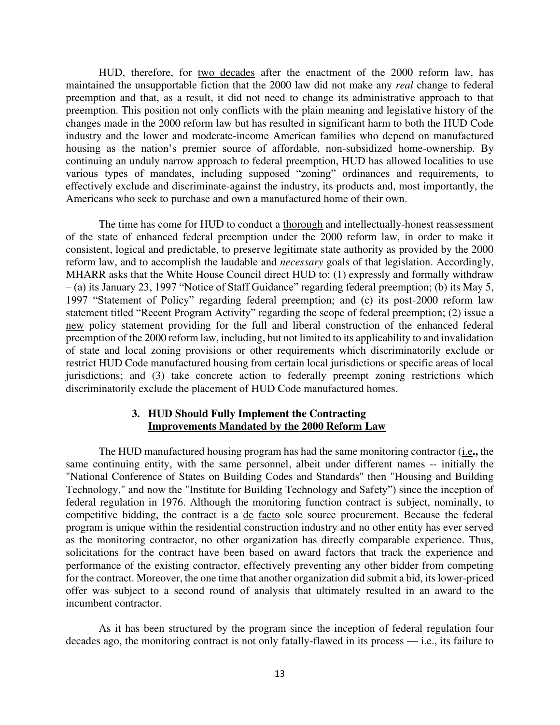HUD, therefore, for two decades after the enactment of the 2000 reform law, has maintained the unsupportable fiction that the 2000 law did not make any *real* change to federal preemption and that, as a result, it did not need to change its administrative approach to that preemption. This position not only conflicts with the plain meaning and legislative history of the changes made in the 2000 reform law but has resulted in significant harm to both the HUD Code industry and the lower and moderate-income American families who depend on manufactured housing as the nation's premier source of affordable, non-subsidized home-ownership. By continuing an unduly narrow approach to federal preemption, HUD has allowed localities to use various types of mandates, including supposed "zoning" ordinances and requirements, to effectively exclude and discriminate-against the industry, its products and, most importantly, the Americans who seek to purchase and own a manufactured home of their own.

 The time has come for HUD to conduct a thorough and intellectually-honest reassessment of the state of enhanced federal preemption under the 2000 reform law, in order to make it consistent, logical and predictable, to preserve legitimate state authority as provided by the 2000 reform law, and to accomplish the laudable and *necessary* goals of that legislation. Accordingly, MHARR asks that the White House Council direct HUD to: (1) expressly and formally withdraw – (a) its January 23, 1997 "Notice of Staff Guidance" regarding federal preemption; (b) its May 5, 1997 "Statement of Policy" regarding federal preemption; and (c) its post-2000 reform law statement titled "Recent Program Activity" regarding the scope of federal preemption; (2) issue a new policy statement providing for the full and liberal construction of the enhanced federal preemption of the 2000 reform law, including, but not limited to its applicability to and invalidation of state and local zoning provisions or other requirements which discriminatorily exclude or restrict HUD Code manufactured housing from certain local jurisdictions or specific areas of local jurisdictions; and (3) take concrete action to federally preempt zoning restrictions which discriminatorily exclude the placement of HUD Code manufactured homes.

## **3. HUD Should Fully Implement the Contracting Improvements Mandated by the 2000 Reform Law**

The HUD manufactured housing program has had the same monitoring contractor (i.e**.,** the same continuing entity, with the same personnel, albeit under different names -- initially the "National Conference of States on Building Codes and Standards" then "Housing and Building Technology," and now the "Institute for Building Technology and Safety") since the inception of federal regulation in 1976. Although the monitoring function contract is subject, nominally, to competitive bidding, the contract is a de facto sole source procurement. Because the federal program is unique within the residential construction industry and no other entity has ever served as the monitoring contractor, no other organization has directly comparable experience. Thus, solicitations for the contract have been based on award factors that track the experience and performance of the existing contractor, effectively preventing any other bidder from competing for the contract. Moreover, the one time that another organization did submit a bid, its lower-priced offer was subject to a second round of analysis that ultimately resulted in an award to the incumbent contractor.

As it has been structured by the program since the inception of federal regulation four decades ago, the monitoring contract is not only fatally-flawed in its process — i.e., its failure to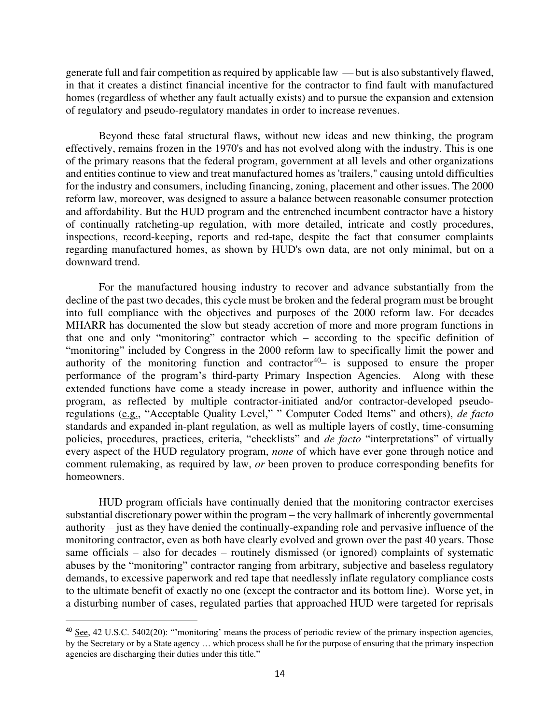generate full and fair competition as required by applicable law — but is also substantively flawed, in that it creates a distinct financial incentive for the contractor to find fault with manufactured homes (regardless of whether any fault actually exists) and to pursue the expansion and extension of regulatory and pseudo-regulatory mandates in order to increase revenues.

Beyond these fatal structural flaws, without new ideas and new thinking, the program effectively, remains frozen in the 1970's and has not evolved along with the industry. This is one of the primary reasons that the federal program, government at all levels and other organizations and entities continue to view and treat manufactured homes as 'trailers," causing untold difficulties for the industry and consumers, including financing, zoning, placement and other issues. The 2000 reform law, moreover, was designed to assure a balance between reasonable consumer protection and affordability. But the HUD program and the entrenched incumbent contractor have a history of continually ratcheting-up regulation, with more detailed, intricate and costly procedures, inspections, record-keeping, reports and red-tape, despite the fact that consumer complaints regarding manufactured homes, as shown by HUD's own data, are not only minimal, but on a downward trend.

For the manufactured housing industry to recover and advance substantially from the decline of the past two decades, this cycle must be broken and the federal program must be brought into full compliance with the objectives and purposes of the 2000 reform law. For decades MHARR has documented the slow but steady accretion of more and more program functions in that one and only "monitoring" contractor which – according to the specific definition of "monitoring" included by Congress in the 2000 reform law to specifically limit the power and authority of the monitoring function and contractor<sup>40</sup> $-$  is supposed to ensure the proper performance of the program's third-party Primary Inspection Agencies. Along with these extended functions have come a steady increase in power, authority and influence within the program, as reflected by multiple contractor-initiated and/or contractor-developed pseudoregulations (e.g., "Acceptable Quality Level," " Computer Coded Items" and others), *de facto* standards and expanded in-plant regulation, as well as multiple layers of costly, time-consuming policies, procedures, practices, criteria, "checklists" and *de facto* "interpretations" of virtually every aspect of the HUD regulatory program, *none* of which have ever gone through notice and comment rulemaking, as required by law, *or* been proven to produce corresponding benefits for homeowners.

HUD program officials have continually denied that the monitoring contractor exercises substantial discretionary power within the program – the very hallmark of inherently governmental authority – just as they have denied the continually-expanding role and pervasive influence of the monitoring contractor, even as both have clearly evolved and grown over the past 40 years. Those same officials – also for decades – routinely dismissed (or ignored) complaints of systematic abuses by the "monitoring" contractor ranging from arbitrary, subjective and baseless regulatory demands, to excessive paperwork and red tape that needlessly inflate regulatory compliance costs to the ultimate benefit of exactly no one (except the contractor and its bottom line). Worse yet, in a disturbing number of cases, regulated parties that approached HUD were targeted for reprisals

 $40 \text{ See}$ , 42 U.S.C. 5402(20): "'monitoring' means the process of periodic review of the primary inspection agencies, by the Secretary or by a State agency … which process shall be for the purpose of ensuring that the primary inspection agencies are discharging their duties under this title."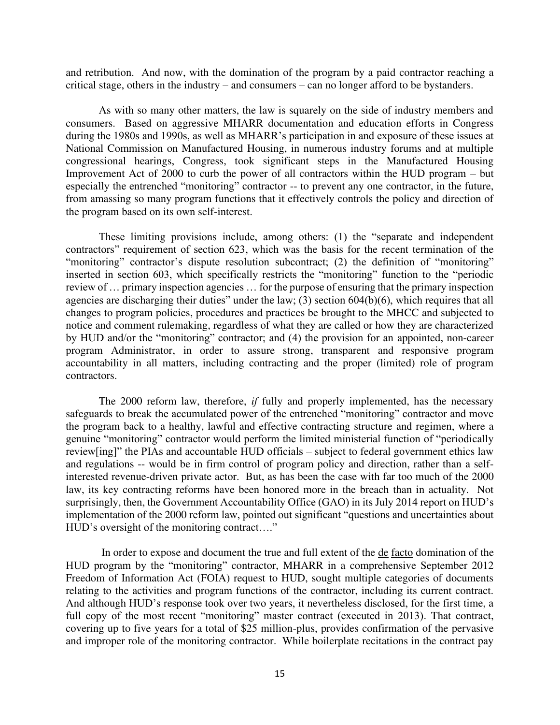and retribution. And now, with the domination of the program by a paid contractor reaching a critical stage, others in the industry – and consumers – can no longer afford to be bystanders.

As with so many other matters, the law is squarely on the side of industry members and consumers. Based on aggressive MHARR documentation and education efforts in Congress during the 1980s and 1990s, as well as MHARR's participation in and exposure of these issues at National Commission on Manufactured Housing, in numerous industry forums and at multiple congressional hearings, Congress, took significant steps in the Manufactured Housing Improvement Act of 2000 to curb the power of all contractors within the HUD program – but especially the entrenched "monitoring" contractor -- to prevent any one contractor, in the future, from amassing so many program functions that it effectively controls the policy and direction of the program based on its own self-interest.

These limiting provisions include, among others: (1) the "separate and independent contractors" requirement of section 623, which was the basis for the recent termination of the "monitoring" contractor's dispute resolution subcontract; (2) the definition of "monitoring" inserted in section 603, which specifically restricts the "monitoring" function to the "periodic review of … primary inspection agencies … for the purpose of ensuring that the primary inspection agencies are discharging their duties" under the law; (3) section 604(b)(6), which requires that all changes to program policies, procedures and practices be brought to the MHCC and subjected to notice and comment rulemaking, regardless of what they are called or how they are characterized by HUD and/or the "monitoring" contractor; and (4) the provision for an appointed, non-career program Administrator, in order to assure strong, transparent and responsive program accountability in all matters, including contracting and the proper (limited) role of program contractors.

The 2000 reform law, therefore, *if* fully and properly implemented, has the necessary safeguards to break the accumulated power of the entrenched "monitoring" contractor and move the program back to a healthy, lawful and effective contracting structure and regimen, where a genuine "monitoring" contractor would perform the limited ministerial function of "periodically review[ing]" the PIAs and accountable HUD officials – subject to federal government ethics law and regulations -- would be in firm control of program policy and direction, rather than a selfinterested revenue-driven private actor. But, as has been the case with far too much of the 2000 law, its key contracting reforms have been honored more in the breach than in actuality. Not surprisingly, then, the Government Accountability Office (GAO) in its July 2014 report on HUD's implementation of the 2000 reform law, pointed out significant "questions and uncertainties about HUD's oversight of the monitoring contract…."

 In order to expose and document the true and full extent of the de facto domination of the HUD program by the "monitoring" contractor, MHARR in a comprehensive September 2012 Freedom of Information Act (FOIA) request to HUD, sought multiple categories of documents relating to the activities and program functions of the contractor, including its current contract. And although HUD's response took over two years, it nevertheless disclosed, for the first time, a full copy of the most recent "monitoring" master contract (executed in 2013). That contract, covering up to five years for a total of \$25 million-plus, provides confirmation of the pervasive and improper role of the monitoring contractor. While boilerplate recitations in the contract pay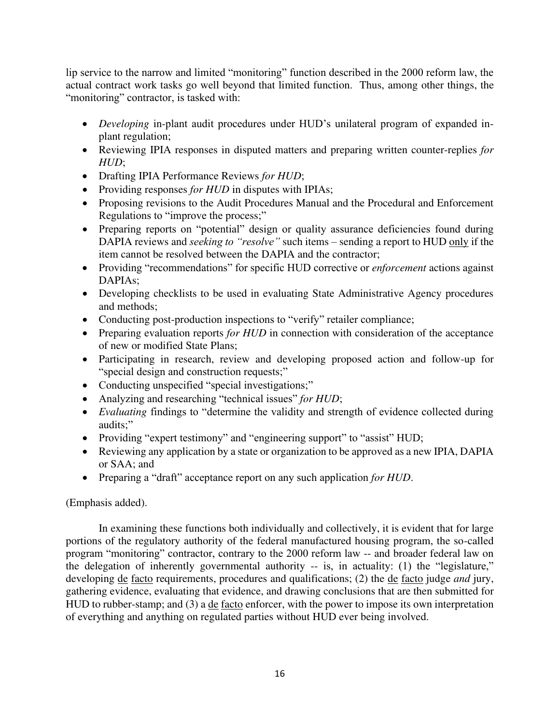lip service to the narrow and limited "monitoring" function described in the 2000 reform law, the actual contract work tasks go well beyond that limited function. Thus, among other things, the "monitoring" contractor, is tasked with:

- *Developing* in-plant audit procedures under HUD's unilateral program of expanded inplant regulation;
- Reviewing IPIA responses in disputed matters and preparing written counter-replies *for HUD*;
- Drafting IPIA Performance Reviews *for HUD*;
- Providing responses *for HUD* in disputes with IPIAs;
- Proposing revisions to the Audit Procedures Manual and the Procedural and Enforcement Regulations to "improve the process;"
- Preparing reports on "potential" design or quality assurance deficiencies found during DAPIA reviews and *seeking to "resolve"* such items – sending a report to HUD only if the item cannot be resolved between the DAPIA and the contractor;
- Providing "recommendations" for specific HUD corrective or *enforcement* actions against DAPIAs;
- Developing checklists to be used in evaluating State Administrative Agency procedures and methods;
- Conducting post-production inspections to "verify" retailer compliance;
- Preparing evaluation reports *for HUD* in connection with consideration of the acceptance of new or modified State Plans;
- Participating in research, review and developing proposed action and follow-up for "special design and construction requests;"
- Conducting unspecified "special investigations;"
- Analyzing and researching "technical issues" *for HUD*;
- *Evaluating* findings to "determine the validity and strength of evidence collected during audits;"
- Providing "expert testimony" and "engineering support" to "assist" HUD;
- Reviewing any application by a state or organization to be approved as a new IPIA, DAPIA or SAA; and
- Preparing a "draft" acceptance report on any such application *for HUD*.

# (Emphasis added).

In examining these functions both individually and collectively, it is evident that for large portions of the regulatory authority of the federal manufactured housing program, the so-called program "monitoring" contractor, contrary to the 2000 reform law -- and broader federal law on the delegation of inherently governmental authority -- is, in actuality: (1) the "legislature," developing de facto requirements, procedures and qualifications; (2) the de facto judge *and* jury, gathering evidence, evaluating that evidence, and drawing conclusions that are then submitted for HUD to rubber-stamp; and (3) a <u>de facto</u> enforcer, with the power to impose its own interpretation of everything and anything on regulated parties without HUD ever being involved.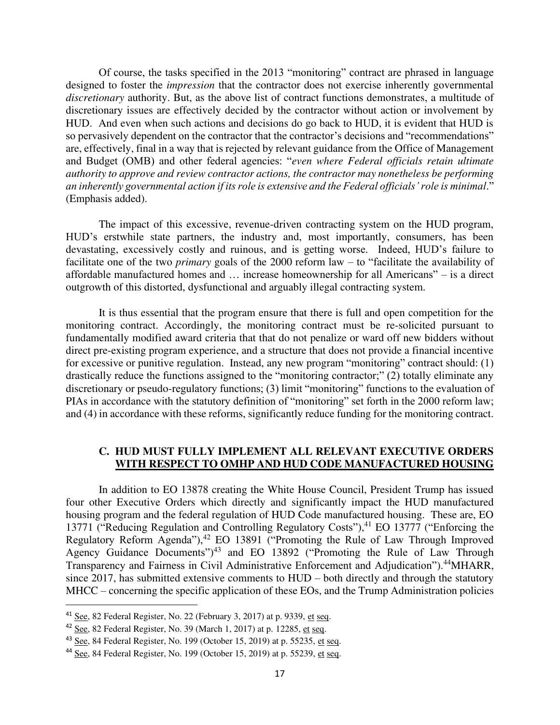Of course, the tasks specified in the 2013 "monitoring" contract are phrased in language designed to foster the *impression* that the contractor does not exercise inherently governmental *discretionary* authority. But, as the above list of contract functions demonstrates, a multitude of discretionary issues are effectively decided by the contractor without action or involvement by HUD. And even when such actions and decisions do go back to HUD, it is evident that HUD is so pervasively dependent on the contractor that the contractor's decisions and "recommendations" are, effectively, final in a way that is rejected by relevant guidance from the Office of Management and Budget (OMB) and other federal agencies: "*even where Federal officials retain ultimate authority to approve and review contractor actions, the contractor may nonetheless be performing an inherently governmental action if its role is extensive and the Federal officials' role is minimal*." (Emphasis added).

The impact of this excessive, revenue-driven contracting system on the HUD program, HUD's erstwhile state partners, the industry and, most importantly, consumers, has been devastating, excessively costly and ruinous, and is getting worse. Indeed, HUD's failure to facilitate one of the two *primary* goals of the 2000 reform law – to "facilitate the availability of affordable manufactured homes and … increase homeownership for all Americans" – is a direct outgrowth of this distorted, dysfunctional and arguably illegal contracting system.

It is thus essential that the program ensure that there is full and open competition for the monitoring contract. Accordingly, the monitoring contract must be re-solicited pursuant to fundamentally modified award criteria that that do not penalize or ward off new bidders without direct pre-existing program experience, and a structure that does not provide a financial incentive for excessive or punitive regulation. Instead, any new program "monitoring" contract should: (1) drastically reduce the functions assigned to the "monitoring contractor;" (2) totally eliminate any discretionary or pseudo-regulatory functions; (3) limit "monitoring" functions to the evaluation of PIAs in accordance with the statutory definition of "monitoring" set forth in the 2000 reform law; and (4) in accordance with these reforms, significantly reduce funding for the monitoring contract.

## **C. HUD MUST FULLY IMPLEMENT ALL RELEVANT EXECUTIVE ORDERS WITH RESPECT TO OMHP AND HUD CODE MANUFACTURED HOUSING**

In addition to EO 13878 creating the White House Council, President Trump has issued four other Executive Orders which directly and significantly impact the HUD manufactured housing program and the federal regulation of HUD Code manufactured housing. These are, EO 13771 ("Reducing Regulation and Controlling Regulatory Costs"),<sup>41</sup> EO 13777 ("Enforcing the Regulatory Reform Agenda"),<sup>42</sup> EO 13891 ("Promoting the Rule of Law Through Improved Agency Guidance Documents")<sup>43</sup> and EO 13892 ("Promoting the Rule of Law Through Transparency and Fairness in Civil Administrative Enforcement and Adjudication").<sup>44</sup>MHARR, since 2017, has submitted extensive comments to HUD – both directly and through the statutory MHCC – concerning the specific application of these EOs, and the Trump Administration policies

 $41$  See, 82 Federal Register, No. 22 (February 3, 2017) at p. 9339, et seq.

<sup>&</sup>lt;sup>42</sup> See, 82 Federal Register, No. 39 (March 1, 2017) at p. 12285, et seq.

<sup>&</sup>lt;sup>43</sup> See, 84 Federal Register, No. 199 (October 15, 2019) at p. 55235, et seq.

<sup>44</sup> See, 84 Federal Register, No. 199 (October 15, 2019) at p. 55239, et seq.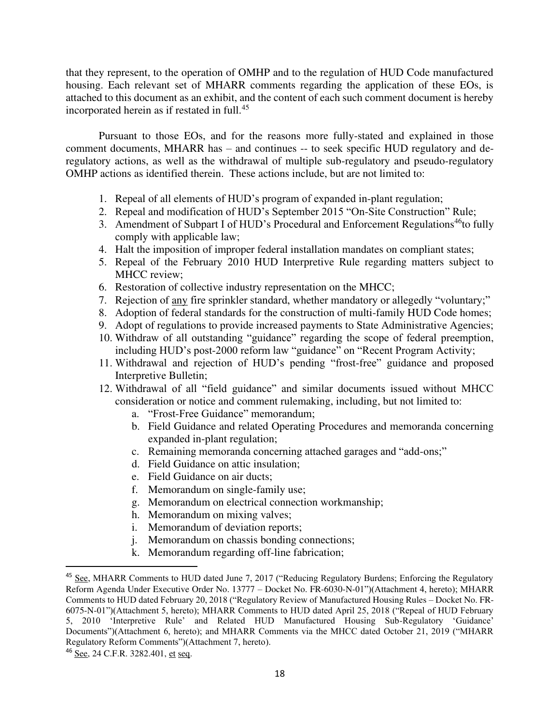that they represent, to the operation of OMHP and to the regulation of HUD Code manufactured housing. Each relevant set of MHARR comments regarding the application of these EOs, is attached to this document as an exhibit, and the content of each such comment document is hereby incorporated herein as if restated in full.<sup>45</sup>

Pursuant to those EOs, and for the reasons more fully-stated and explained in those comment documents, MHARR has – and continues -- to seek specific HUD regulatory and deregulatory actions, as well as the withdrawal of multiple sub-regulatory and pseudo-regulatory OMHP actions as identified therein. These actions include, but are not limited to:

- 1. Repeal of all elements of HUD's program of expanded in-plant regulation;
- 2. Repeal and modification of HUD's September 2015 "On-Site Construction" Rule;
- 3. Amendment of Subpart I of HUD's Procedural and Enforcement Regulations<sup>46</sup>to fully comply with applicable law;
- 4. Halt the imposition of improper federal installation mandates on compliant states;
- 5. Repeal of the February 2010 HUD Interpretive Rule regarding matters subject to MHCC review;
- 6. Restoration of collective industry representation on the MHCC;
- 7. Rejection of any fire sprinkler standard, whether mandatory or allegedly "voluntary;"
- 8. Adoption of federal standards for the construction of multi-family HUD Code homes;
- 9. Adopt of regulations to provide increased payments to State Administrative Agencies;
- 10. Withdraw of all outstanding "guidance" regarding the scope of federal preemption, including HUD's post-2000 reform law "guidance" on "Recent Program Activity;
- 11. Withdrawal and rejection of HUD's pending "frost-free" guidance and proposed Interpretive Bulletin;
- 12. Withdrawal of all "field guidance" and similar documents issued without MHCC consideration or notice and comment rulemaking, including, but not limited to:
	- a. "Frost-Free Guidance" memorandum;
	- b. Field Guidance and related Operating Procedures and memoranda concerning expanded in-plant regulation;
	- c. Remaining memoranda concerning attached garages and "add-ons;"
	- d. Field Guidance on attic insulation;
	- e. Field Guidance on air ducts;
	- f. Memorandum on single-family use;
	- g. Memorandum on electrical connection workmanship;
	- h. Memorandum on mixing valves;
	- i. Memorandum of deviation reports;
	- j. Memorandum on chassis bonding connections;
	- k. Memorandum regarding off-line fabrication;

<sup>45</sup> See, MHARR Comments to HUD dated June 7, 2017 ("Reducing Regulatory Burdens; Enforcing the Regulatory Reform Agenda Under Executive Order No. 13777 – Docket No. FR-6030-N-01")(Attachment 4, hereto); MHARR Comments to HUD dated February 20, 2018 ("Regulatory Review of Manufactured Housing Rules – Docket No. FR-6075-N-01")(Attachment 5, hereto); MHARR Comments to HUD dated April 25, 2018 ("Repeal of HUD February 5, 2010 'Interpretive Rule' and Related HUD Manufactured Housing Sub-Regulatory 'Guidance' Documents")(Attachment 6, hereto); and MHARR Comments via the MHCC dated October 21, 2019 ("MHARR Regulatory Reform Comments")(Attachment 7, hereto).

<sup>46</sup> See, 24 C.F.R. 3282.401, et seq.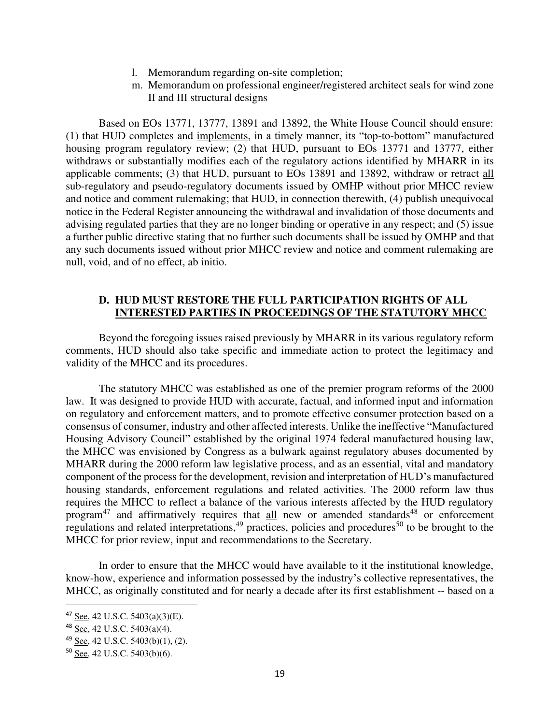- l. Memorandum regarding on-site completion;
- m. Memorandum on professional engineer/registered architect seals for wind zone II and III structural designs

Based on EOs 13771, 13777, 13891 and 13892, the White House Council should ensure: (1) that HUD completes and implements, in a timely manner, its "top-to-bottom" manufactured housing program regulatory review; (2) that HUD, pursuant to EOs 13771 and 13777, either withdraws or substantially modifies each of the regulatory actions identified by MHARR in its applicable comments; (3) that HUD, pursuant to EOs 13891 and 13892, withdraw or retract all sub-regulatory and pseudo-regulatory documents issued by OMHP without prior MHCC review and notice and comment rulemaking; that HUD, in connection therewith, (4) publish unequivocal notice in the Federal Register announcing the withdrawal and invalidation of those documents and advising regulated parties that they are no longer binding or operative in any respect; and (5) issue a further public directive stating that no further such documents shall be issued by OMHP and that any such documents issued without prior MHCC review and notice and comment rulemaking are null, void, and of no effect, ab initio.

# **D. HUD MUST RESTORE THE FULL PARTICIPATION RIGHTS OF ALL INTERESTED PARTIES IN PROCEEDINGS OF THE STATUTORY MHCC**

 Beyond the foregoing issues raised previously by MHARR in its various regulatory reform comments, HUD should also take specific and immediate action to protect the legitimacy and validity of the MHCC and its procedures.

 The statutory MHCC was established as one of the premier program reforms of the 2000 law. It was designed to provide HUD with accurate, factual, and informed input and information on regulatory and enforcement matters, and to promote effective consumer protection based on a consensus of consumer, industry and other affected interests. Unlike the ineffective "Manufactured Housing Advisory Council" established by the original 1974 federal manufactured housing law, the MHCC was envisioned by Congress as a bulwark against regulatory abuses documented by MHARR during the 2000 reform law legislative process, and as an essential, vital and mandatory component of the process for the development, revision and interpretation of HUD's manufactured housing standards, enforcement regulations and related activities. The 2000 reform law thus requires the MHCC to reflect a balance of the various interests affected by the HUD regulatory program<sup>47</sup> and affirmatively requires that all new or amended standards<sup>48</sup> or enforcement regulations and related interpretations,<sup>49</sup> practices, policies and procedures<sup>50</sup> to be brought to the MHCC for prior review, input and recommendations to the Secretary.

 In order to ensure that the MHCC would have available to it the institutional knowledge, know-how, experience and information possessed by the industry's collective representatives, the MHCC, as originally constituted and for nearly a decade after its first establishment -- based on a

<sup>47</sup> See, 42 U.S.C. 5403(a)(3)(E).

<sup>48</sup> See, 42 U.S.C. 5403(a)(4).

<sup>49</sup> See, 42 U.S.C. 5403(b)(1), (2).

<sup>50</sup> See, 42 U.S.C. 5403(b)(6).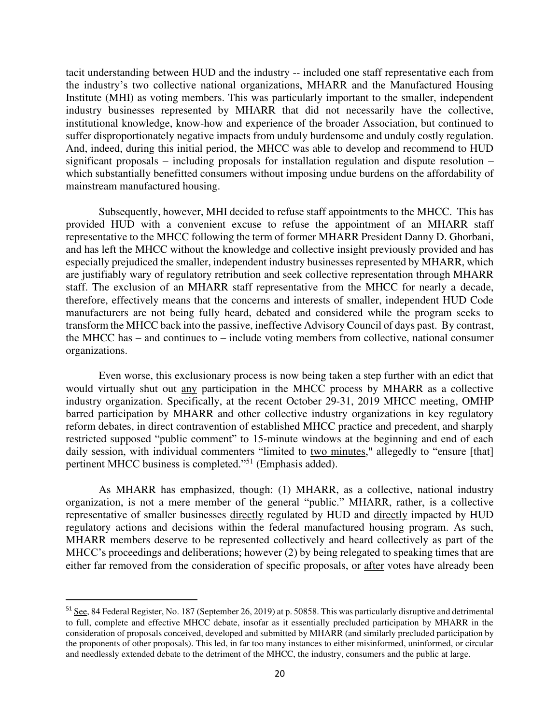tacit understanding between HUD and the industry -- included one staff representative each from the industry's two collective national organizations, MHARR and the Manufactured Housing Institute (MHI) as voting members. This was particularly important to the smaller, independent industry businesses represented by MHARR that did not necessarily have the collective, institutional knowledge, know-how and experience of the broader Association, but continued to suffer disproportionately negative impacts from unduly burdensome and unduly costly regulation. And, indeed, during this initial period, the MHCC was able to develop and recommend to HUD significant proposals – including proposals for installation regulation and dispute resolution – which substantially benefitted consumers without imposing undue burdens on the affordability of mainstream manufactured housing.

 Subsequently, however, MHI decided to refuse staff appointments to the MHCC. This has provided HUD with a convenient excuse to refuse the appointment of an MHARR staff representative to the MHCC following the term of former MHARR President Danny D. Ghorbani, and has left the MHCC without the knowledge and collective insight previously provided and has especially prejudiced the smaller, independent industry businesses represented by MHARR, which are justifiably wary of regulatory retribution and seek collective representation through MHARR staff. The exclusion of an MHARR staff representative from the MHCC for nearly a decade, therefore, effectively means that the concerns and interests of smaller, independent HUD Code manufacturers are not being fully heard, debated and considered while the program seeks to transform the MHCC back into the passive, ineffective Advisory Council of days past. By contrast, the MHCC has – and continues to – include voting members from collective, national consumer organizations.

 Even worse, this exclusionary process is now being taken a step further with an edict that would virtually shut out any participation in the MHCC process by MHARR as a collective industry organization. Specifically, at the recent October 29-31, 2019 MHCC meeting, OMHP barred participation by MHARR and other collective industry organizations in key regulatory reform debates, in direct contravention of established MHCC practice and precedent, and sharply restricted supposed "public comment" to 15-minute windows at the beginning and end of each daily session, with individual commenters "limited to two minutes," allegedly to "ensure [that] pertinent MHCC business is completed."<sup>51</sup> (Emphasis added).

 As MHARR has emphasized, though: (1) MHARR, as a collective, national industry organization, is not a mere member of the general "public." MHARR, rather, is a collective representative of smaller businesses directly regulated by HUD and directly impacted by HUD regulatory actions and decisions within the federal manufactured housing program. As such, MHARR members deserve to be represented collectively and heard collectively as part of the MHCC's proceedings and deliberations; however (2) by being relegated to speaking times that are either far removed from the consideration of specific proposals, or after votes have already been

<sup>&</sup>lt;sup>51</sup> See, 84 Federal Register, No. 187 (September 26, 2019) at p. 50858. This was particularly disruptive and detrimental to full, complete and effective MHCC debate, insofar as it essentially precluded participation by MHARR in the consideration of proposals conceived, developed and submitted by MHARR (and similarly precluded participation by the proponents of other proposals). This led, in far too many instances to either misinformed, uninformed, or circular and needlessly extended debate to the detriment of the MHCC, the industry, consumers and the public at large.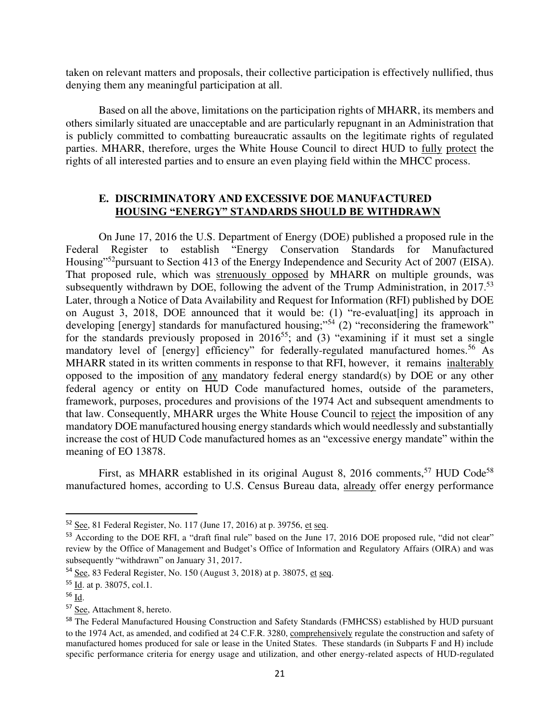taken on relevant matters and proposals, their collective participation is effectively nullified, thus denying them any meaningful participation at all.

 Based on all the above, limitations on the participation rights of MHARR, its members and others similarly situated are unacceptable and are particularly repugnant in an Administration that is publicly committed to combatting bureaucratic assaults on the legitimate rights of regulated parties. MHARR, therefore, urges the White House Council to direct HUD to fully protect the rights of all interested parties and to ensure an even playing field within the MHCC process.

#### **E. DISCRIMINATORY AND EXCESSIVE DOE MANUFACTURED HOUSING "ENERGY" STANDARDS SHOULD BE WITHDRAWN**

On June 17, 2016 the U.S. Department of Energy (DOE) published a proposed rule in the Federal Register to establish "Energy Conservation Standards for Manufactured Housing"<sup>52</sup>pursuant to Section 413 of the Energy Independence and Security Act of 2007 (EISA). That proposed rule, which was strenuously opposed by MHARR on multiple grounds, was subsequently withdrawn by DOE, following the advent of the Trump Administration, in 2017.<sup>53</sup> Later, through a Notice of Data Availability and Request for Information (RFI) published by DOE on August 3, 2018, DOE announced that it would be: (1) "re-evaluat[ing] its approach in developing [energy] standards for manufactured housing;"<sup>54</sup> (2) "reconsidering the framework" for the standards previously proposed in  $2016^{55}$ ; and  $(3)$  "examining if it must set a single mandatory level of [energy] efficiency" for federally-regulated manufactured homes.<sup>56</sup> As MHARR stated in its written comments in response to that RFI, however, it remains inalterably opposed to the imposition of any mandatory federal energy standard(s) by DOE or any other federal agency or entity on HUD Code manufactured homes, outside of the parameters, framework, purposes, procedures and provisions of the 1974 Act and subsequent amendments to that law. Consequently, MHARR urges the White House Council to reject the imposition of any mandatory DOE manufactured housing energy standards which would needlessly and substantially increase the cost of HUD Code manufactured homes as an "excessive energy mandate" within the meaning of EO 13878.

First, as MHARR established in its original August 8, 2016 comments,<sup>57</sup> HUD Code<sup>58</sup> manufactured homes, according to U.S. Census Bureau data, already offer energy performance

<sup>52</sup> See, 81 Federal Register, No. 117 (June 17, 2016) at p. 39756, et seq.

<sup>&</sup>lt;sup>53</sup> According to the DOE RFI, a "draft final rule" based on the June 17, 2016 DOE proposed rule, "did not clear" review by the Office of Management and Budget's Office of Information and Regulatory Affairs (OIRA) and was subsequently "withdrawn" on January 31, 2017.

<sup>54</sup> See, 83 Federal Register, No. 150 (August 3, 2018) at p. 38075, et seq.

<sup>55</sup> Id. at p. 38075, col.1.

 $56$  Id.

<sup>57</sup> See, Attachment 8, hereto.

<sup>&</sup>lt;sup>58</sup> The Federal Manufactured Housing Construction and Safety Standards (FMHCSS) established by HUD pursuant to the 1974 Act, as amended, and codified at 24 C.F.R. 3280, comprehensively regulate the construction and safety of manufactured homes produced for sale or lease in the United States. These standards (in Subparts F and H) include specific performance criteria for energy usage and utilization, and other energy-related aspects of HUD-regulated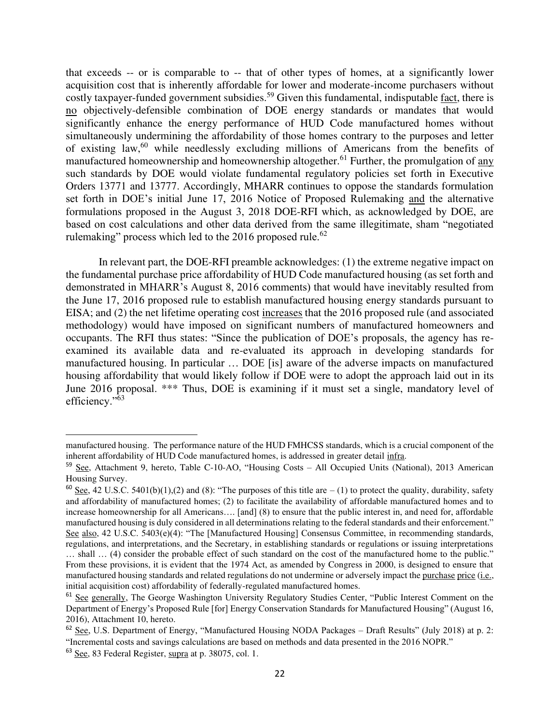that exceeds -- or is comparable to -- that of other types of homes, at a significantly lower acquisition cost that is inherently affordable for lower and moderate-income purchasers without costly taxpayer-funded government subsidies.<sup>59</sup> Given this fundamental, indisputable fact, there is no objectively-defensible combination of DOE energy standards or mandates that would significantly enhance the energy performance of HUD Code manufactured homes without simultaneously undermining the affordability of those homes contrary to the purposes and letter of existing law, $60$  while needlessly excluding millions of Americans from the benefits of manufactured homeownership and homeownership altogether.<sup>61</sup> Further, the promulgation of any such standards by DOE would violate fundamental regulatory policies set forth in Executive Orders 13771 and 13777. Accordingly, MHARR continues to oppose the standards formulation set forth in DOE's initial June 17, 2016 Notice of Proposed Rulemaking and the alternative formulations proposed in the August 3, 2018 DOE-RFI which, as acknowledged by DOE, are based on cost calculations and other data derived from the same illegitimate, sham "negotiated rulemaking" process which led to the 2016 proposed rule.<sup>62</sup>

In relevant part, the DOE-RFI preamble acknowledges: (1) the extreme negative impact on the fundamental purchase price affordability of HUD Code manufactured housing (as set forth and demonstrated in MHARR's August 8, 2016 comments) that would have inevitably resulted from the June 17, 2016 proposed rule to establish manufactured housing energy standards pursuant to EISA; and (2) the net lifetime operating cost increases that the 2016 proposed rule (and associated methodology) would have imposed on significant numbers of manufactured homeowners and occupants. The RFI thus states: "Since the publication of DOE's proposals, the agency has reexamined its available data and re-evaluated its approach in developing standards for manufactured housing. In particular … DOE [is] aware of the adverse impacts on manufactured housing affordability that would likely follow if DOE were to adopt the approach laid out in its June 2016 proposal. \*\*\* Thus, DOE is examining if it must set a single, mandatory level of efficiency."<sup>63</sup>

manufactured housing. The performance nature of the HUD FMHCSS standards, which is a crucial component of the inherent affordability of HUD Code manufactured homes, is addressed in greater detail infra.

<sup>59</sup> See, Attachment 9, hereto, Table C-10-AO, "Housing Costs – All Occupied Units (National), 2013 American Housing Survey.

<sup>&</sup>lt;sup>60</sup> See, 42 U.S.C. 5401(b)(1),(2) and (8): "The purposes of this title are  $- (1)$  to protect the quality, durability, safety and affordability of manufactured homes; (2) to facilitate the availability of affordable manufactured homes and to increase homeownership for all Americans…. [and] (8) to ensure that the public interest in, and need for, affordable manufactured housing is duly considered in all determinations relating to the federal standards and their enforcement." See also, 42 U.S.C. 5403(e)(4): "The [Manufactured Housing] Consensus Committee, in recommending standards, regulations, and interpretations, and the Secretary, in establishing standards or regulations or issuing interpretations … shall … (4) consider the probable effect of such standard on the cost of the manufactured home to the public." From these provisions, it is evident that the 1974 Act, as amended by Congress in 2000, is designed to ensure that manufactured housing standards and related regulations do not undermine or adversely impact the purchase price (i.e., initial acquisition cost) affordability of federally-regulated manufactured homes.

<sup>&</sup>lt;sup>61</sup> See generally, The George Washington University Regulatory Studies Center, "Public Interest Comment on the Department of Energy's Proposed Rule [for] Energy Conservation Standards for Manufactured Housing" (August 16, 2016), Attachment 10, hereto.

<sup>62</sup> See, U.S. Department of Energy, "Manufactured Housing NODA Packages – Draft Results" (July 2018) at p. 2: "Incremental costs and savings calculations are based on methods and data presented in the 2016 NOPR."

<sup>63</sup> See, 83 Federal Register, supra at p. 38075, col. 1.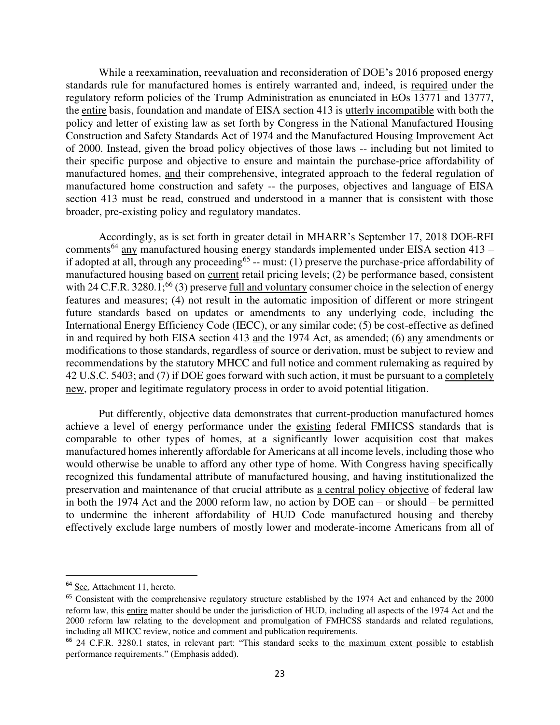While a reexamination, reevaluation and reconsideration of DOE's 2016 proposed energy standards rule for manufactured homes is entirely warranted and, indeed, is required under the regulatory reform policies of the Trump Administration as enunciated in EOs 13771 and 13777, the entire basis, foundation and mandate of EISA section 413 is utterly incompatible with both the policy and letter of existing law as set forth by Congress in the National Manufactured Housing Construction and Safety Standards Act of 1974 and the Manufactured Housing Improvement Act of 2000. Instead, given the broad policy objectives of those laws -- including but not limited to their specific purpose and objective to ensure and maintain the purchase-price affordability of manufactured homes, and their comprehensive, integrated approach to the federal regulation of manufactured home construction and safety -- the purposes, objectives and language of EISA section 413 must be read, construed and understood in a manner that is consistent with those broader, pre-existing policy and regulatory mandates.

Accordingly, as is set forth in greater detail in MHARR's September 17, 2018 DOE-RFI comments<sup>64</sup> any manufactured housing energy standards implemented under EISA section 413 – if adopted at all, through <u>any</u> proceeding<sup>65</sup> -- must: (1) preserve the purchase-price affordability of manufactured housing based on current retail pricing levels; (2) be performance based, consistent with 24 C.F.R. 3280.1;<sup>66</sup> (3) preserve full and voluntary consumer choice in the selection of energy features and measures; (4) not result in the automatic imposition of different or more stringent future standards based on updates or amendments to any underlying code, including the International Energy Efficiency Code (IECC), or any similar code; (5) be cost-effective as defined in and required by both EISA section 413 and the 1974 Act, as amended; (6) any amendments or modifications to those standards, regardless of source or derivation, must be subject to review and recommendations by the statutory MHCC and full notice and comment rulemaking as required by 42 U.S.C. 5403; and (7) if DOE goes forward with such action, it must be pursuant to a completely new, proper and legitimate regulatory process in order to avoid potential litigation.

 Put differently, objective data demonstrates that current-production manufactured homes achieve a level of energy performance under the existing federal FMHCSS standards that is comparable to other types of homes, at a significantly lower acquisition cost that makes manufactured homes inherently affordable for Americans at all income levels, including those who would otherwise be unable to afford any other type of home. With Congress having specifically recognized this fundamental attribute of manufactured housing, and having institutionalized the preservation and maintenance of that crucial attribute as a central policy objective of federal law in both the 1974 Act and the 2000 reform law, no action by DOE can – or should – be permitted to undermine the inherent affordability of HUD Code manufactured housing and thereby effectively exclude large numbers of mostly lower and moderate-income Americans from all of

<sup>&</sup>lt;sup>64</sup> See, Attachment 11, hereto.

<sup>&</sup>lt;sup>65</sup> Consistent with the comprehensive regulatory structure established by the 1974 Act and enhanced by the 2000 reform law, this entire matter should be under the jurisdiction of HUD, including all aspects of the 1974 Act and the 2000 reform law relating to the development and promulgation of FMHCSS standards and related regulations, including all MHCC review, notice and comment and publication requirements.

<sup>66</sup> 24 C.F.R. 3280.1 states, in relevant part: "This standard seeks to the maximum extent possible to establish performance requirements." (Emphasis added).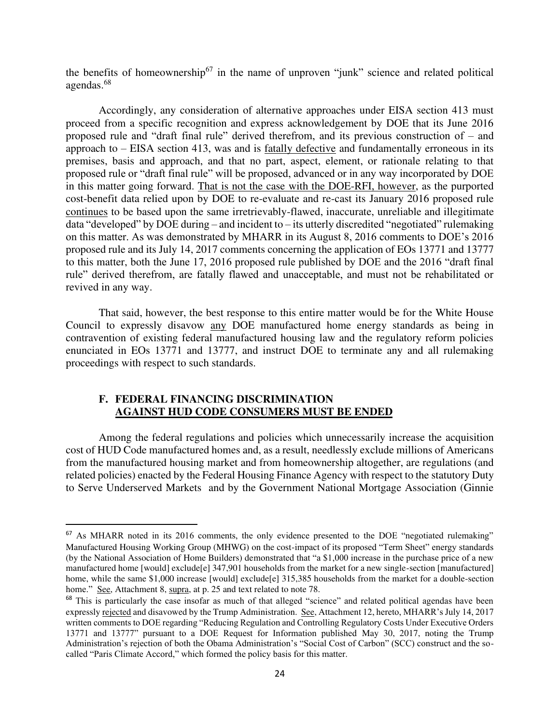the benefits of homeownership<sup>67</sup> in the name of unproven "junk" science and related political agendas.<sup>68</sup>

 Accordingly, any consideration of alternative approaches under EISA section 413 must proceed from a specific recognition and express acknowledgement by DOE that its June 2016 proposed rule and "draft final rule" derived therefrom, and its previous construction of – and approach to – EISA section 413, was and is fatally defective and fundamentally erroneous in its premises, basis and approach, and that no part, aspect, element, or rationale relating to that proposed rule or "draft final rule" will be proposed, advanced or in any way incorporated by DOE in this matter going forward. That is not the case with the DOE-RFI, however, as the purported cost-benefit data relied upon by DOE to re-evaluate and re-cast its January 2016 proposed rule continues to be based upon the same irretrievably-flawed, inaccurate, unreliable and illegitimate data "developed" by DOE during – and incident to – its utterly discredited "negotiated" rulemaking on this matter. As was demonstrated by MHARR in its August 8, 2016 comments to DOE's 2016 proposed rule and its July 14, 2017 comments concerning the application of EOs 13771 and 13777 to this matter, both the June 17, 2016 proposed rule published by DOE and the 2016 "draft final rule" derived therefrom, are fatally flawed and unacceptable, and must not be rehabilitated or revived in any way.

That said, however, the best response to this entire matter would be for the White House Council to expressly disavow any DOE manufactured home energy standards as being in contravention of existing federal manufactured housing law and the regulatory reform policies enunciated in EOs 13771 and 13777, and instruct DOE to terminate any and all rulemaking proceedings with respect to such standards.

## **F. FEDERAL FINANCING DISCRIMINATION AGAINST HUD CODE CONSUMERS MUST BE ENDED**

Among the federal regulations and policies which unnecessarily increase the acquisition cost of HUD Code manufactured homes and, as a result, needlessly exclude millions of Americans from the manufactured housing market and from homeownership altogether, are regulations (and related policies) enacted by the Federal Housing Finance Agency with respect to the statutory Duty to Serve Underserved Markets and by the Government National Mortgage Association (Ginnie

<sup>&</sup>lt;sup>67</sup> As MHARR noted in its 2016 comments, the only evidence presented to the DOE "negotiated rulemaking" Manufactured Housing Working Group (MHWG) on the cost-impact of its proposed "Term Sheet" energy standards (by the National Association of Home Builders) demonstrated that "a \$1,000 increase in the purchase price of a new manufactured home [would] exclude[e] 347,901 households from the market for a new single-section [manufactured] home, while the same \$1,000 increase [would] exclude[e] 315,385 households from the market for a double-section home." See, Attachment 8, supra, at p. 25 and text related to note 78.

<sup>&</sup>lt;sup>68</sup> This is particularly the case insofar as much of that alleged "science" and related political agendas have been expressly rejected and disavowed by the Trump Administration. See, Attachment 12, hereto, MHARR's July 14, 2017 written comments to DOE regarding "Reducing Regulation and Controlling Regulatory Costs Under Executive Orders 13771 and 13777" pursuant to a DOE Request for Information published May 30, 2017, noting the Trump Administration's rejection of both the Obama Administration's "Social Cost of Carbon" (SCC) construct and the socalled "Paris Climate Accord," which formed the policy basis for this matter.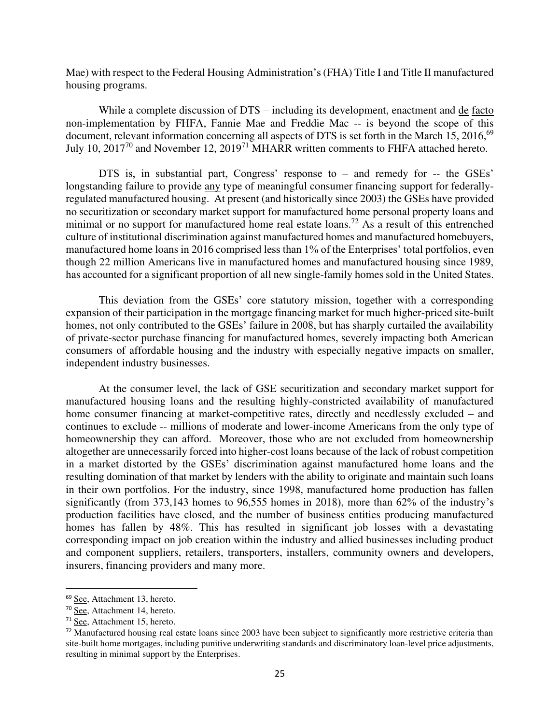Mae) with respect to the Federal Housing Administration's (FHA) Title I and Title II manufactured housing programs.

While a complete discussion of DTS – including its development, enactment and de facto non-implementation by FHFA, Fannie Mae and Freddie Mac -- is beyond the scope of this document, relevant information concerning all aspects of DTS is set forth in the March 15, 2016,<sup>69</sup> July 10, 2017<sup>70</sup> and November 12, 2019<sup>71</sup> MHARR written comments to FHFA attached hereto.

DTS is, in substantial part, Congress' response to – and remedy for -- the GSEs' longstanding failure to provide any type of meaningful consumer financing support for federallyregulated manufactured housing. At present (and historically since 2003) the GSEs have provided no securitization or secondary market support for manufactured home personal property loans and minimal or no support for manufactured home real estate loans.<sup>72</sup> As a result of this entrenched culture of institutional discrimination against manufactured homes and manufactured homebuyers, manufactured home loans in 2016 comprised less than 1% of the Enterprises' total portfolios, even though 22 million Americans live in manufactured homes and manufactured housing since 1989, has accounted for a significant proportion of all new single-family homes sold in the United States.

This deviation from the GSEs' core statutory mission, together with a corresponding expansion of their participation in the mortgage financing market for much higher-priced site-built homes, not only contributed to the GSEs' failure in 2008, but has sharply curtailed the availability of private-sector purchase financing for manufactured homes, severely impacting both American consumers of affordable housing and the industry with especially negative impacts on smaller, independent industry businesses.

At the consumer level, the lack of GSE securitization and secondary market support for manufactured housing loans and the resulting highly-constricted availability of manufactured home consumer financing at market-competitive rates, directly and needlessly excluded – and continues to exclude -- millions of moderate and lower-income Americans from the only type of homeownership they can afford. Moreover, those who are not excluded from homeownership altogether are unnecessarily forced into higher-cost loans because of the lack of robust competition in a market distorted by the GSEs' discrimination against manufactured home loans and the resulting domination of that market by lenders with the ability to originate and maintain such loans in their own portfolios. For the industry, since 1998, manufactured home production has fallen significantly (from 373,143 homes to 96,555 homes in 2018), more than 62% of the industry's production facilities have closed, and the number of business entities producing manufactured homes has fallen by 48%. This has resulted in significant job losses with a devastating corresponding impact on job creation within the industry and allied businesses including product and component suppliers, retailers, transporters, installers, community owners and developers, insurers, financing providers and many more.

<sup>69</sup> See, Attachment 13, hereto.

<sup>70</sup> See, Attachment 14, hereto.

<sup>71</sup> See, Attachment 15, hereto.

 $72$  Manufactured housing real estate loans since 2003 have been subject to significantly more restrictive criteria than site-built home mortgages, including punitive underwriting standards and discriminatory loan-level price adjustments, resulting in minimal support by the Enterprises.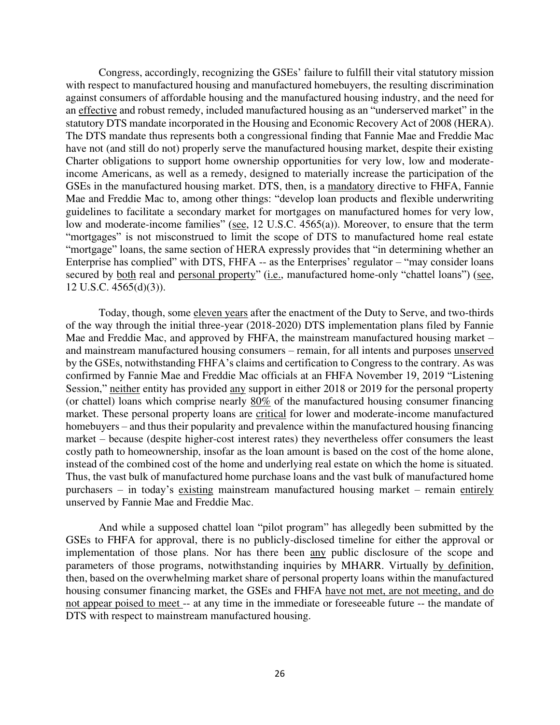Congress, accordingly, recognizing the GSEs' failure to fulfill their vital statutory mission with respect to manufactured housing and manufactured homebuyers, the resulting discrimination against consumers of affordable housing and the manufactured housing industry, and the need for an effective and robust remedy, included manufactured housing as an "underserved market" in the statutory DTS mandate incorporated in the Housing and Economic Recovery Act of 2008 (HERA). The DTS mandate thus represents both a congressional finding that Fannie Mae and Freddie Mac have not (and still do not) properly serve the manufactured housing market, despite their existing Charter obligations to support home ownership opportunities for very low, low and moderateincome Americans, as well as a remedy, designed to materially increase the participation of the GSEs in the manufactured housing market. DTS, then, is a mandatory directive to FHFA, Fannie Mae and Freddie Mac to, among other things: "develop loan products and flexible underwriting guidelines to facilitate a secondary market for mortgages on manufactured homes for very low, low and moderate-income families" (see, 12 U.S.C. 4565(a)). Moreover, to ensure that the term "mortgages" is not misconstrued to limit the scope of DTS to manufactured home real estate "mortgage" loans, the same section of HERA expressly provides that "in determining whether an Enterprise has complied" with DTS, FHFA -- as the Enterprises' regulator – "may consider loans secured by both real and personal property" (i.e., manufactured home-only "chattel loans") (see, 12 U.S.C. 4565(d)(3)).

Today, though, some eleven years after the enactment of the Duty to Serve, and two-thirds of the way through the initial three-year (2018-2020) DTS implementation plans filed by Fannie Mae and Freddie Mac, and approved by FHFA, the mainstream manufactured housing market – and mainstream manufactured housing consumers – remain, for all intents and purposes unserved by the GSEs, notwithstanding FHFA's claims and certification to Congress to the contrary. As was confirmed by Fannie Mae and Freddie Mac officials at an FHFA November 19, 2019 "Listening Session," neither entity has provided any support in either 2018 or 2019 for the personal property (or chattel) loans which comprise nearly 80% of the manufactured housing consumer financing market. These personal property loans are critical for lower and moderate-income manufactured homebuyers – and thus their popularity and prevalence within the manufactured housing financing market – because (despite higher-cost interest rates) they nevertheless offer consumers the least costly path to homeownership, insofar as the loan amount is based on the cost of the home alone, instead of the combined cost of the home and underlying real estate on which the home is situated. Thus, the vast bulk of manufactured home purchase loans and the vast bulk of manufactured home purchasers – in today's existing mainstream manufactured housing market – remain entirely unserved by Fannie Mae and Freddie Mac.

And while a supposed chattel loan "pilot program" has allegedly been submitted by the GSEs to FHFA for approval, there is no publicly-disclosed timeline for either the approval or implementation of those plans. Nor has there been any public disclosure of the scope and parameters of those programs, notwithstanding inquiries by MHARR. Virtually by definition, then, based on the overwhelming market share of personal property loans within the manufactured housing consumer financing market, the GSEs and FHFA have not met, are not meeting, and do not appear poised to meet -- at any time in the immediate or foreseeable future -- the mandate of DTS with respect to mainstream manufactured housing.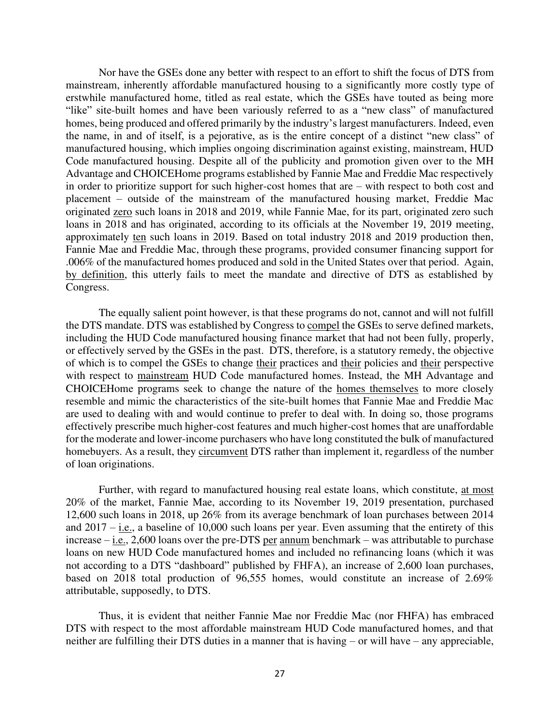Nor have the GSEs done any better with respect to an effort to shift the focus of DTS from mainstream, inherently affordable manufactured housing to a significantly more costly type of erstwhile manufactured home, titled as real estate, which the GSEs have touted as being more "like" site-built homes and have been variously referred to as a "new class" of manufactured homes, being produced and offered primarily by the industry's largest manufacturers. Indeed, even the name, in and of itself, is a pejorative, as is the entire concept of a distinct "new class" of manufactured housing, which implies ongoing discrimination against existing, mainstream, HUD Code manufactured housing. Despite all of the publicity and promotion given over to the MH Advantage and CHOICEHome programs established by Fannie Mae and Freddie Mac respectively in order to prioritize support for such higher-cost homes that are – with respect to both cost and placement – outside of the mainstream of the manufactured housing market, Freddie Mac originated zero such loans in 2018 and 2019, while Fannie Mae, for its part, originated zero such loans in 2018 and has originated, according to its officials at the November 19, 2019 meeting, approximately ten such loans in 2019. Based on total industry 2018 and 2019 production then, Fannie Mae and Freddie Mac, through these programs, provided consumer financing support for .006% of the manufactured homes produced and sold in the United States over that period. Again, by definition, this utterly fails to meet the mandate and directive of DTS as established by Congress.

The equally salient point however, is that these programs do not, cannot and will not fulfill the DTS mandate. DTS was established by Congress to compel the GSEs to serve defined markets, including the HUD Code manufactured housing finance market that had not been fully, properly, or effectively served by the GSEs in the past. DTS, therefore, is a statutory remedy, the objective of which is to compel the GSEs to change their practices and their policies and their perspective with respect to mainstream HUD Code manufactured homes. Instead, the MH Advantage and CHOICEHome programs seek to change the nature of the homes themselves to more closely resemble and mimic the characteristics of the site-built homes that Fannie Mae and Freddie Mac are used to dealing with and would continue to prefer to deal with. In doing so, those programs effectively prescribe much higher-cost features and much higher-cost homes that are unaffordable for the moderate and lower-income purchasers who have long constituted the bulk of manufactured homebuyers. As a result, they circumvent DTS rather than implement it, regardless of the number of loan originations.

Further, with regard to manufactured housing real estate loans, which constitute, at most 20% of the market, Fannie Mae, according to its November 19, 2019 presentation, purchased 12,600 such loans in 2018, up 26% from its average benchmark of loan purchases between 2014 and 2017 – i.e., a baseline of 10,000 such loans per year. Even assuming that the entirety of this increase – i.e., 2,600 loans over the pre-DTS per annum benchmark – was attributable to purchase loans on new HUD Code manufactured homes and included no refinancing loans (which it was not according to a DTS "dashboard" published by FHFA), an increase of 2,600 loan purchases, based on 2018 total production of 96,555 homes, would constitute an increase of 2.69% attributable, supposedly, to DTS.

Thus, it is evident that neither Fannie Mae nor Freddie Mac (nor FHFA) has embraced DTS with respect to the most affordable mainstream HUD Code manufactured homes, and that neither are fulfilling their DTS duties in a manner that is having – or will have – any appreciable,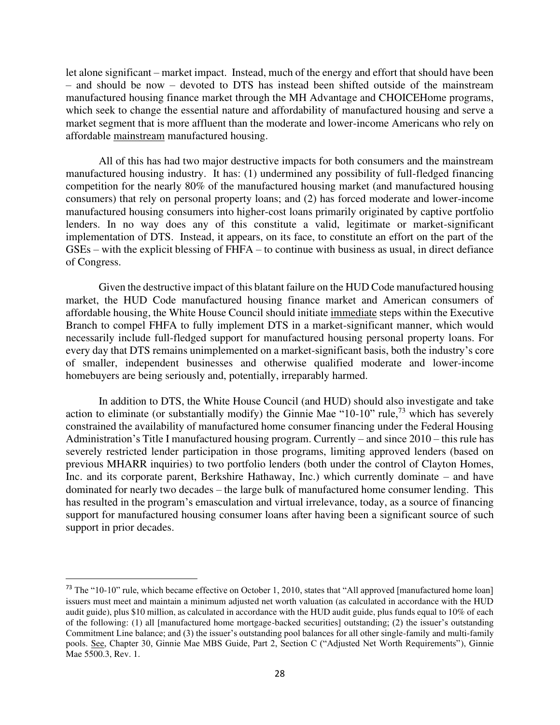let alone significant – market impact. Instead, much of the energy and effort that should have been – and should be now – devoted to DTS has instead been shifted outside of the mainstream manufactured housing finance market through the MH Advantage and CHOICEHome programs, which seek to change the essential nature and affordability of manufactured housing and serve a market segment that is more affluent than the moderate and lower-income Americans who rely on affordable mainstream manufactured housing.

All of this has had two major destructive impacts for both consumers and the mainstream manufactured housing industry. It has: (1) undermined any possibility of full-fledged financing competition for the nearly 80% of the manufactured housing market (and manufactured housing consumers) that rely on personal property loans; and (2) has forced moderate and lower-income manufactured housing consumers into higher-cost loans primarily originated by captive portfolio lenders. In no way does any of this constitute a valid, legitimate or market-significant implementation of DTS. Instead, it appears, on its face, to constitute an effort on the part of the GSEs – with the explicit blessing of FHFA – to continue with business as usual, in direct defiance of Congress.

Given the destructive impact of this blatant failure on the HUD Code manufactured housing market, the HUD Code manufactured housing finance market and American consumers of affordable housing, the White House Council should initiate immediate steps within the Executive Branch to compel FHFA to fully implement DTS in a market-significant manner, which would necessarily include full-fledged support for manufactured housing personal property loans. For every day that DTS remains unimplemented on a market-significant basis, both the industry's core of smaller, independent businesses and otherwise qualified moderate and lower-income homebuyers are being seriously and, potentially, irreparably harmed.

In addition to DTS, the White House Council (and HUD) should also investigate and take action to eliminate (or substantially modify) the Ginnie Mae "10-10" rule,<sup>73</sup> which has severely constrained the availability of manufactured home consumer financing under the Federal Housing Administration's Title I manufactured housing program. Currently – and since 2010 – this rule has severely restricted lender participation in those programs, limiting approved lenders (based on previous MHARR inquiries) to two portfolio lenders (both under the control of Clayton Homes, Inc. and its corporate parent, Berkshire Hathaway, Inc.) which currently dominate – and have dominated for nearly two decades – the large bulk of manufactured home consumer lending. This has resulted in the program's emasculation and virtual irrelevance, today, as a source of financing support for manufactured housing consumer loans after having been a significant source of such support in prior decades.

<sup>&</sup>lt;sup>73</sup> The "10-10" rule, which became effective on October 1, 2010, states that "All approved [manufactured home loan] issuers must meet and maintain a minimum adjusted net worth valuation (as calculated in accordance with the HUD audit guide), plus \$10 million, as calculated in accordance with the HUD audit guide, plus funds equal to 10% of each of the following: (1) all [manufactured home mortgage-backed securities] outstanding; (2) the issuer's outstanding Commitment Line balance; and (3) the issuer's outstanding pool balances for all other single-family and multi-family pools. See, Chapter 30, Ginnie Mae MBS Guide, Part 2, Section C ("Adjusted Net Worth Requirements"), Ginnie Mae 5500.3, Rev. 1.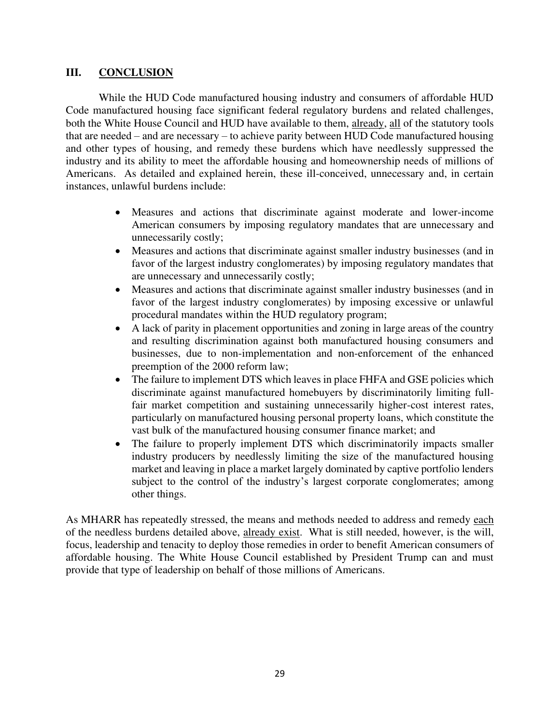# **III. CONCLUSION**

While the HUD Code manufactured housing industry and consumers of affordable HUD Code manufactured housing face significant federal regulatory burdens and related challenges, both the White House Council and HUD have available to them, already, all of the statutory tools that are needed – and are necessary – to achieve parity between HUD Code manufactured housing and other types of housing, and remedy these burdens which have needlessly suppressed the industry and its ability to meet the affordable housing and homeownership needs of millions of Americans. As detailed and explained herein, these ill-conceived, unnecessary and, in certain instances, unlawful burdens include:

- Measures and actions that discriminate against moderate and lower-income American consumers by imposing regulatory mandates that are unnecessary and unnecessarily costly;
- Measures and actions that discriminate against smaller industry businesses (and in favor of the largest industry conglomerates) by imposing regulatory mandates that are unnecessary and unnecessarily costly;
- Measures and actions that discriminate against smaller industry businesses (and in favor of the largest industry conglomerates) by imposing excessive or unlawful procedural mandates within the HUD regulatory program;
- A lack of parity in placement opportunities and zoning in large areas of the country and resulting discrimination against both manufactured housing consumers and businesses, due to non-implementation and non-enforcement of the enhanced preemption of the 2000 reform law;
- The failure to implement DTS which leaves in place FHFA and GSE policies which discriminate against manufactured homebuyers by discriminatorily limiting fullfair market competition and sustaining unnecessarily higher-cost interest rates, particularly on manufactured housing personal property loans, which constitute the vast bulk of the manufactured housing consumer finance market; and
- The failure to properly implement DTS which discriminatorily impacts smaller industry producers by needlessly limiting the size of the manufactured housing market and leaving in place a market largely dominated by captive portfolio lenders subject to the control of the industry's largest corporate conglomerates; among other things.

As MHARR has repeatedly stressed, the means and methods needed to address and remedy each of the needless burdens detailed above, already exist. What is still needed, however, is the will, focus, leadership and tenacity to deploy those remedies in order to benefit American consumers of affordable housing. The White House Council established by President Trump can and must provide that type of leadership on behalf of those millions of Americans.